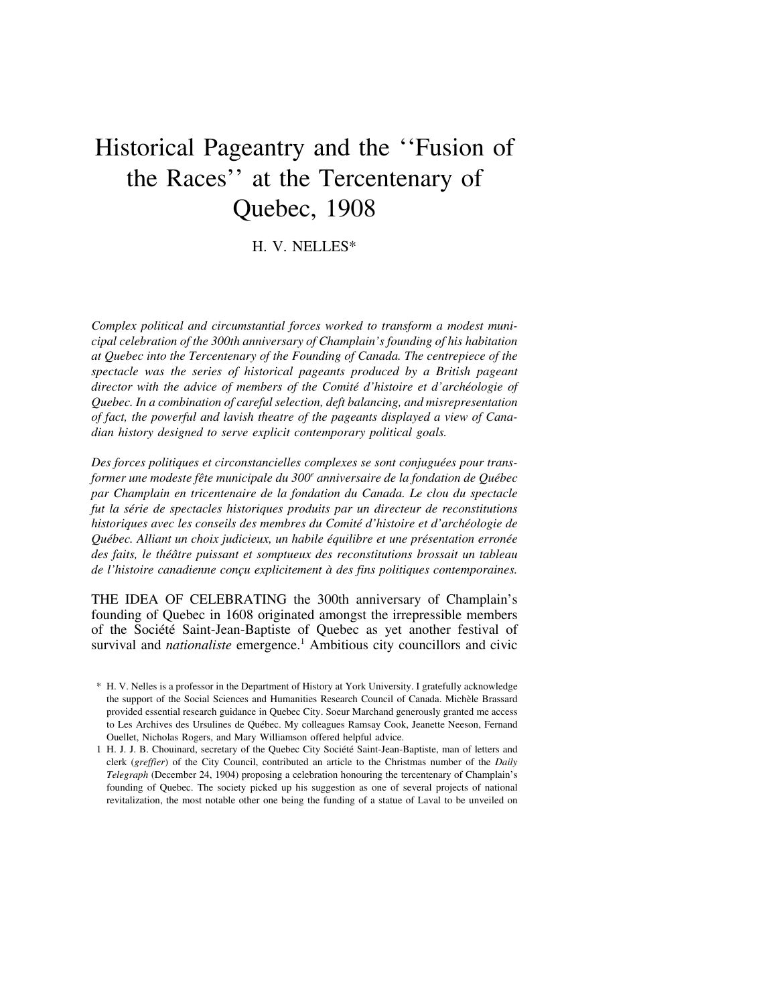# Historical Pageantry and the "Fusion of the Races" at the Tercentenary of Quebec, 1908

H. V. NELLES\*

*Complex political and circumstantial forces worked to transform a modest municipal celebration of the 300th anniversary of Champlain's founding of his habitation at Quebec into the Tercentenary of the Founding of Canada. The centrepiece of the spectacle was the series of historical pageants produced by a British pageant director with the advice of members of the Comité d'histoire et d'archéologie of Quebec. In a combination of careful selection, deft balancing, and misrepresentation of fact, the powerful and lavish theatre of the pageants displayed a view of Canadian history designed to serve explicit contemporary political goals.*

*Des forces politiques et circonstancielles complexes se sont conjuguées pour transformer une modeste fête municipale du 300e anniversaire de la fondation de Québec par Champlain en tricentenaire de la fondation du Canada. Le clou du spectacle fut la série de spectacles historiques produits par un directeur de reconstitutions historiques avec les conseils des membres du Comité d'histoire et d'archéologie de Québec. Alliant un choix judicieux, un habile équilibre et une présentation erronée des faits, le théâtre puissant et somptueux des reconstitutions brossait un tableau de l'histoire canadienne conçu explicitement à des fins politiques contemporaines.*

THE IDEA OF CELEBRATING the 300th anniversary of Champlain's founding of Quebec in 1608 originated amongst the irrepressible members of the Société Saint-Jean-Baptiste of Quebec as yet another festival of survival and *nationaliste* emergence.<sup>1</sup> Ambitious city councillors and civic

<sup>\*</sup> H. V. Nelles is a professor in the Department of History at York University. I gratefully acknowledge the support of the Social Sciences and Humanities Research Council of Canada. Michèle Brassard provided essential research guidance in Quebec City. Soeur Marchand generously granted me access to Les Archives des Ursulines de QuÈbec. My colleagues Ramsay Cook, Jeanette Neeson, Fernand Ouellet, Nicholas Rogers, and Mary Williamson offered helpful advice.

<sup>1</sup> H. J. J. B. Chouinard, secretary of the Quebec City Société Saint-Jean-Baptiste, man of letters and clerk (*greffier*) of the City Council, contributed an article to the Christmas number of the *Daily Telegraph* (December 24, 1904) proposing a celebration honouring the tercentenary of Champlain's founding of Quebec. The society picked up his suggestion as one of several projects of national revitalization, the most notable other one being the funding of a statue of Laval to be unveiled on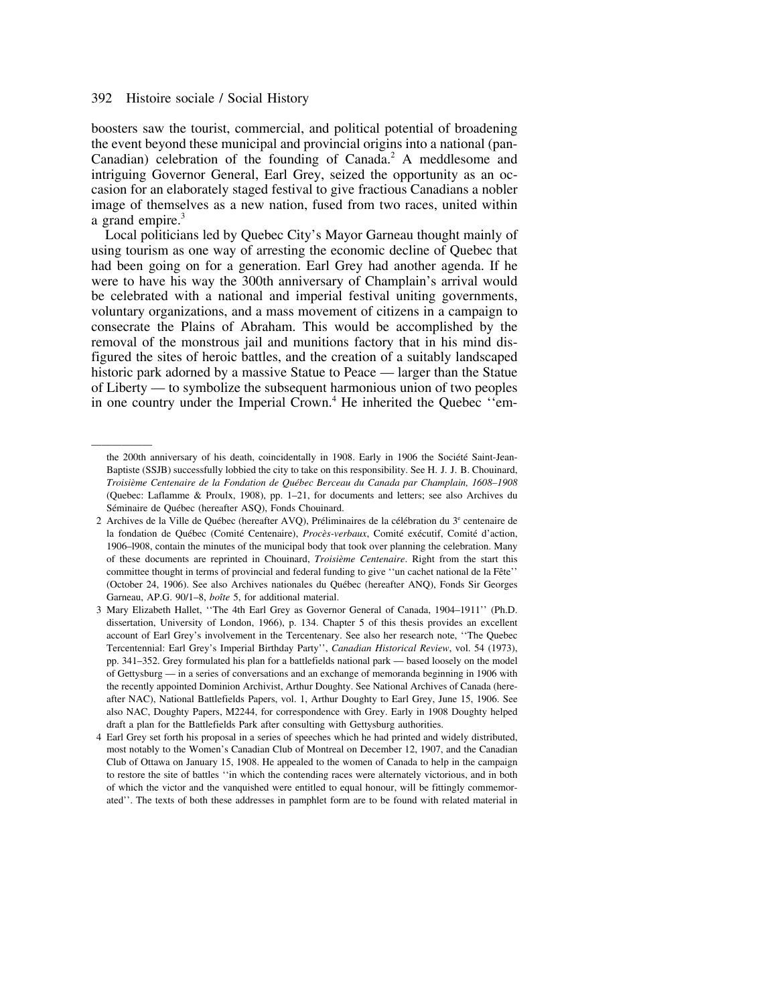óóóóóó

boosters saw the tourist, commercial, and political potential of broadening the event beyond these municipal and provincial origins into a national (pan-Canadian) celebration of the founding of Canada.<sup>2</sup> A meddlesome and intriguing Governor General, Earl Grey, seized the opportunity as an occasion for an elaborately staged festival to give fractious Canadians a nobler image of themselves as a new nation, fused from two races, united within a grand empire.<sup>3</sup>

Local politicians led by Quebec City's Mayor Garneau thought mainly of using tourism as one way of arresting the economic decline of Quebec that had been going on for a generation. Earl Grey had another agenda. If he were to have his way the 300th anniversary of Champlain's arrival would be celebrated with a national and imperial festival uniting governments, voluntary organizations, and a mass movement of citizens in a campaign to consecrate the Plains of Abraham. This would be accomplished by the removal of the monstrous jail and munitions factory that in his mind disfigured the sites of heroic battles, and the creation of a suitably landscaped historic park adorned by a massive Statue to Peace — larger than the Statue of Liberty — to symbolize the subsequent harmonious union of two peoples in one country under the Imperial Crown.<sup>4</sup> He inherited the Quebec "em-

the 200th anniversary of his death, coincidentally in 1908. Early in 1906 the Société Saint-Jean-Baptiste (SSJB) successfully lobbied the city to take on this responsibility. See H. J. J. B. Chouinard, *Troisième Centenaire de la Fondation de Québec Berceau du Canada par Champlain, 1608–1908* (Quebec: Laflamme & Proulx, 1908), pp.  $1-21$ , for documents and letters; see also Archives du SÈminaire de QuÈbec (hereafter ASQ), Fonds Chouinard.

<sup>2</sup> Archives de la Ville de Québec (hereafter AVQ), Préliminaires de la célébration du 3<sup>e</sup> centenaire de la fondation de Québec (Comité Centenaire), *Procès-verbaux*, Comité exécutif, Comité d'action, 1906–1908, contain the minutes of the municipal body that took over planning the celebration. Many of these documents are reprinted in Chouinard, *Troisième Centenaire*. Right from the start this committee thought in terms of provincial and federal funding to give "un cachet national de la Fête" (October 24, 1906). See also Archives nationales du QuÈbec (hereafter ANQ), Fonds Sir Georges Garneau, AP.G. 90/1–8, *boîte* 5, for additional material.

<sup>3</sup> Mary Elizabeth Hallet, "The 4th Earl Grey as Governor General of Canada, 1904–1911" (Ph.D. dissertation, University of London, 1966), p. 134. Chapter 5 of this thesis provides an excellent account of Earl Grey's involvement in the Tercentenary. See also her research note, "The Quebec Tercentennial: Earl Grey's Imperial Birthday Party'', *Canadian Historical Review*, vol. 54 (1973), pp.  $341-352$ . Grey formulated his plan for a battlefields national park — based loosely on the model of Gettysburg — in a series of conversations and an exchange of memoranda beginning in 1906 with the recently appointed Dominion Archivist, Arthur Doughty. See National Archives of Canada (hereafter NAC), National Battlefields Papers, vol. 1, Arthur Doughty to Earl Grey, June 15, 1906. See also NAC, Doughty Papers, M2244, for correspondence with Grey. Early in 1908 Doughty helped draft a plan for the Battlefields Park after consulting with Gettysburg authorities.

<sup>4</sup> Earl Grey set forth his proposal in a series of speeches which he had printed and widely distributed, most notably to the Womenís Canadian Club of Montreal on December 12, 1907, and the Canadian Club of Ottawa on January 15, 1908. He appealed to the women of Canada to help in the campaign to restore the site of battles "in which the contending races were alternately victorious, and in both of which the victor and the vanquished were entitled to equal honour, will be fittingly commemorated''. The texts of both these addresses in pamphlet form are to be found with related material in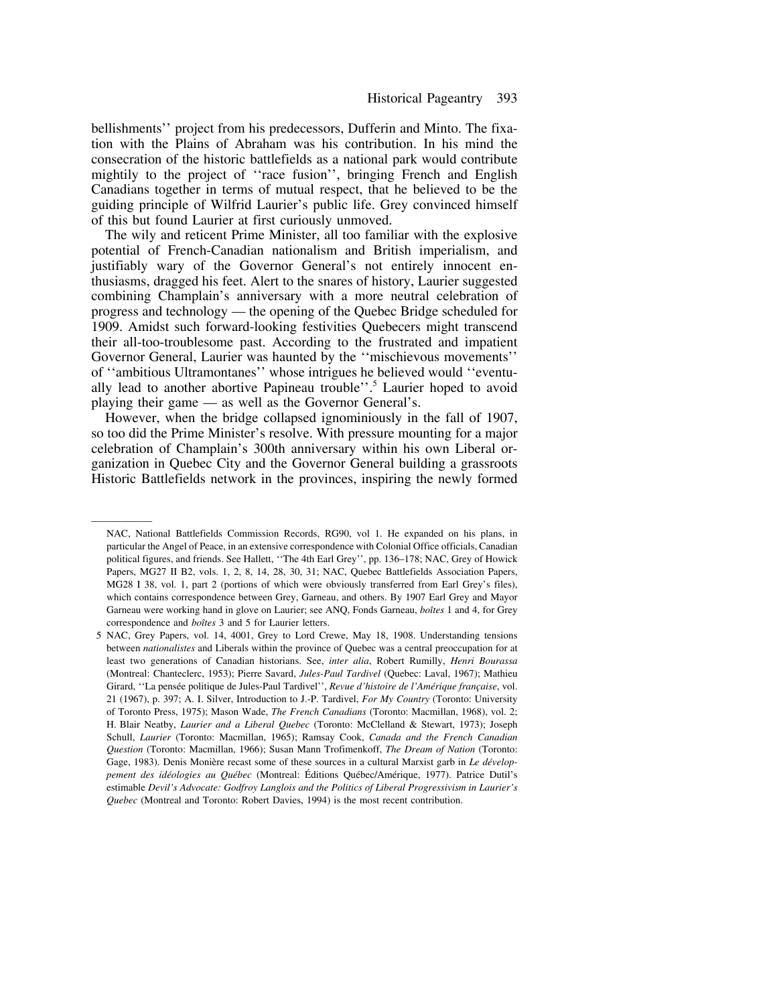bellishments<sup>\*</sup> project from his predecessors, Dufferin and Minto. The fixation with the Plains of Abraham was his contribution. In his mind the consecration of the historic battlefields as a national park would contribute mightily to the project of "race fusion", bringing French and English Canadians together in terms of mutual respect, that he believed to be the guiding principle of Wilfrid Laurier's public life. Grey convinced himself of this but found Laurier at first curiously unmoved.

The wily and reticent Prime Minister, all too familiar with the explosive potential of French-Canadian nationalism and British imperialism, and justifiably wary of the Governor General's not entirely innocent enthusiasms, dragged his feet. Alert to the snares of history, Laurier suggested combining Champlain's anniversary with a more neutral celebration of progress and technology  $-$  the opening of the Quebec Bridge scheduled for 1909. Amidst such forward-looking festivities Quebecers might transcend their all-too-troublesome past. According to the frustrated and impatient Governor General, Laurier was haunted by the "mischievous movements" of "ambitious Ultramontanes" whose intrigues he believed would "eventually lead to another abortive Papineau trouble<sup>75</sup>. Laurier hoped to avoid playing their game  $\sim$  as well as the Governor General's.

However, when the bridge collapsed ignominiously in the fall of 1907, so too did the Prime Minister's resolve. With pressure mounting for a major celebration of Champlain's 300th anniversary within his own Liberal organization in Quebec City and the Governor General building a grassroots Historic Battlefields network in the provinces, inspiring the newly formed

óóóóóó

NAC, National Battlefields Commission Records, RG90, vol 1. He expanded on his plans, in particular the Angel of Peace, in an extensive correspondence with Colonial Office officials, Canadian political figures, and friends. See Hallett, "The 4th Earl Grey", pp. 136-178; NAC, Grey of Howick Papers, MG27 II B2, vols. 1, 2, 8, 14, 28, 30, 31; NAC, Quebec Battlefields Association Papers, MG28 I 38, vol. 1, part 2 (portions of which were obviously transferred from Earl Grey's files), which contains correspondence between Grey, Garneau, and others. By 1907 Earl Grey and Mayor Garneau were working hand in glove on Laurier; see ANQ, Fonds Garneau, *boîtes* 1 and 4, for Grey correspondence and *boîtes* 3 and 5 for Laurier letters.

<sup>5</sup> NAC, Grey Papers, vol. 14, 4001, Grey to Lord Crewe, May 18, 1908. Understanding tensions between *nationalistes* and Liberals within the province of Quebec was a central preoccupation for at least two generations of Canadian historians. See, *inter alia*, Robert Rumilly, *Henri Bourassa* (Montreal: Chanteclerc, 1953); Pierre Savard, *Jules-Paul Tardivel* (Quebec: Laval, 1967); Mathieu Girard, "La pensée politique de Jules-Paul Tardivel", *Revue d'histoire de l'Amérique française*, vol. 21 (1967), p. 397; A. I. Silver, Introduction to J.-P. Tardivel, *For My Country* (Toronto: University of Toronto Press, 1975); Mason Wade, *The French Canadians* (Toronto: Macmillan, 1968), vol. 2; H. Blair Neatby, *Laurier and a Liberal Quebec* (Toronto: McClelland & Stewart, 1973); Joseph Schull, *Laurier* (Toronto: Macmillan, 1965); Ramsay Cook, *Canada and the French Canadian Question* (Toronto: Macmillan, 1966); Susan Mann Trofimenkoff, *The Dream of Nation* (Toronto: Gage, 1983). Denis Monière recast some of these sources in a cultural Marxist garb in *Le développement des idéologies au Québec* (Montreal: Éditions Québec/Amérique, 1977). Patrice Dutil's estimable *Devil's Advocate: Godfroy Langlois and the Politics of Liberal Progressivism in Laurier's Quebec* (Montreal and Toronto: Robert Davies, 1994) is the most recent contribution.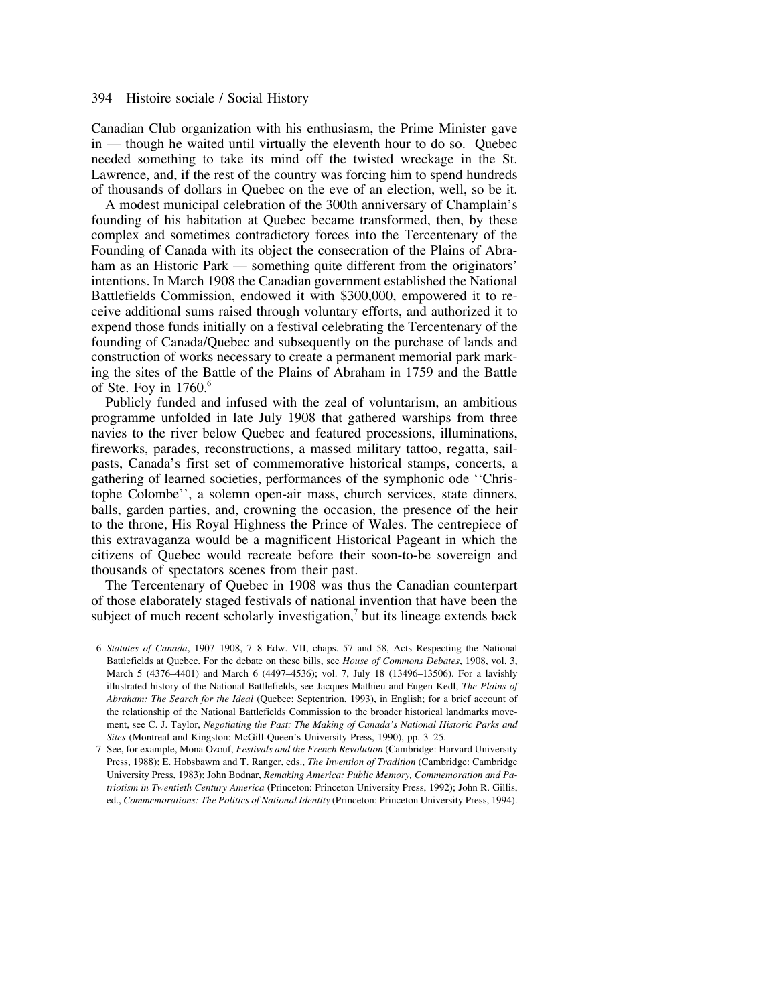Canadian Club organization with his enthusiasm, the Prime Minister gave  $in -$  though he waited until virtually the eleventh hour to do so. Quebec needed something to take its mind off the twisted wreckage in the St. Lawrence, and, if the rest of the country was forcing him to spend hundreds of thousands of dollars in Quebec on the eve of an election, well, so be it.

A modest municipal celebration of the 300th anniversary of Champlain's founding of his habitation at Quebec became transformed, then, by these complex and sometimes contradictory forces into the Tercentenary of the Founding of Canada with its object the consecration of the Plains of Abraham as an Historic Park — something quite different from the originators' intentions. In March 1908 the Canadian government established the National Battlefields Commission, endowed it with \$300,000, empowered it to receive additional sums raised through voluntary efforts, and authorized it to expend those funds initially on a festival celebrating the Tercentenary of the founding of Canada/Quebec and subsequently on the purchase of lands and construction of works necessary to create a permanent memorial park marking the sites of the Battle of the Plains of Abraham in 1759 and the Battle of Ste. Foy in  $1760$ .<sup>6</sup>

Publicly funded and infused with the zeal of voluntarism, an ambitious programme unfolded in late July 1908 that gathered warships from three navies to the river below Quebec and featured processions, illuminations, fireworks, parades, reconstructions, a massed military tattoo, regatta, sailpasts, Canadaís first set of commemorative historical stamps, concerts, a gathering of learned societies, performances of the symphonic ode "Christophe Colombe<sup>7</sup>, a solemn open-air mass, church services, state dinners, balls, garden parties, and, crowning the occasion, the presence of the heir to the throne, His Royal Highness the Prince of Wales. The centrepiece of this extravaganza would be a magnificent Historical Pageant in which the citizens of Quebec would recreate before their soon-to-be sovereign and thousands of spectators scenes from their past.

The Tercentenary of Quebec in 1908 was thus the Canadian counterpart of those elaborately staged festivals of national invention that have been the subject of much recent scholarly investigation, $\overline{a}$  but its lineage extends back

<sup>6</sup> *Statutes of Canada*, 1907-1908, 7-8 Edw. VII, chaps. 57 and 58, Acts Respecting the National Battlefields at Quebec. For the debate on these bills, see *House of Commons Debates*, 1908, vol. 3, March 5 (4376–4401) and March 6 (4497–4536); vol. 7, July 18 (13496–13506). For a lavishly illustrated history of the National Battlefields, see Jacques Mathieu and Eugen Kedl, *The Plains of Abraham: The Search for the Ideal* (Quebec: Septentrion, 1993), in English; for a brief account of the relationship of the National Battlefields Commission to the broader historical landmarks movement, see C. J. Taylor, *Negotiating the Past: The Making of Canada's National Historic Parks and Sites* (Montreal and Kingston: McGill-Queen's University Press, 1990), pp. 3–25.

<sup>7</sup> See, for example, Mona Ozouf, *Festivals and the French Revolution* (Cambridge: Harvard University Press, 1988); E. Hobsbawm and T. Ranger, eds., *The Invention of Tradition* (Cambridge: Cambridge University Press, 1983); John Bodnar, *Remaking America: Public Memory, Commemoration and Patriotism in Twentieth Century America* (Princeton: Princeton University Press, 1992); John R. Gillis, ed., *Commemorations: The Politics of National Identity* (Princeton: Princeton University Press, 1994).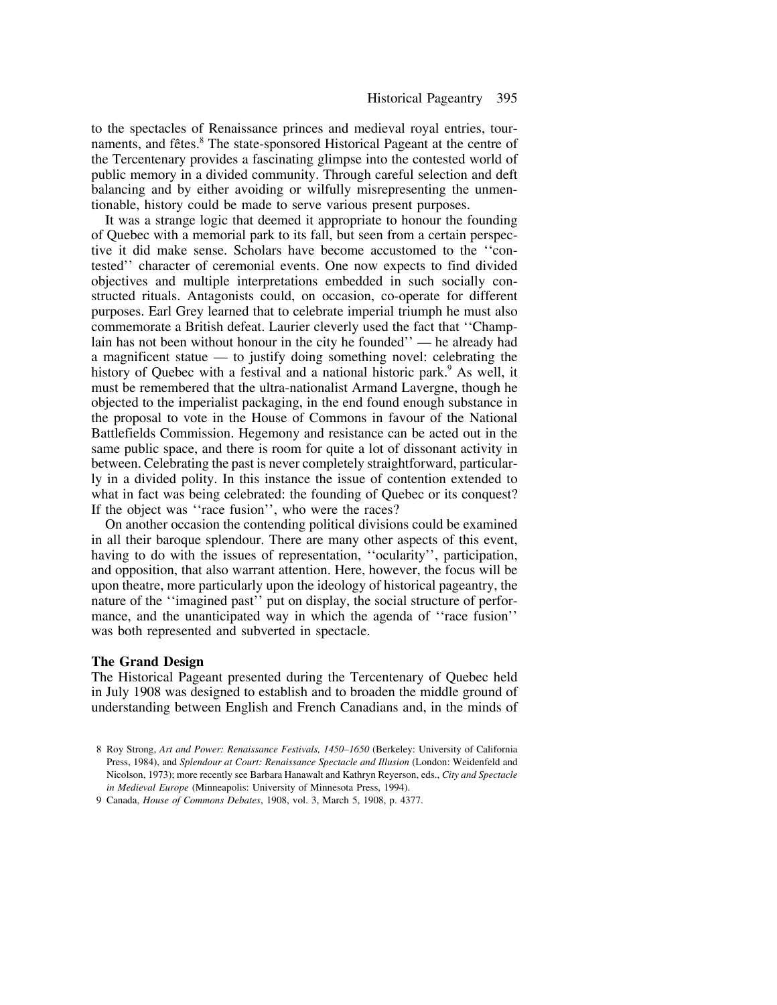to the spectacles of Renaissance princes and medieval royal entries, tournaments, and fêtes.<sup>8</sup> The state-sponsored Historical Pageant at the centre of the Tercentenary provides a fascinating glimpse into the contested world of public memory in a divided community. Through careful selection and deft balancing and by either avoiding or wilfully misrepresenting the unmentionable, history could be made to serve various present purposes.

It was a strange logic that deemed it appropriate to honour the founding of Quebec with a memorial park to its fall, but seen from a certain perspective it did make sense. Scholars have become accustomed to the "contested" character of ceremonial events. One now expects to find divided objectives and multiple interpretations embedded in such socially constructed rituals. Antagonists could, on occasion, co-operate for different purposes. Earl Grey learned that to celebrate imperial triumph he must also commemorate a British defeat. Laurier cleverly used the fact that "Champlain has not been without honour in the city he founded $\cdot$  – he already had a magnificent statue  $\frac{d}{dx}$  to justify doing something novel: celebrating the history of Quebec with a festival and a national historic park.<sup>9</sup> As well, it must be remembered that the ultra-nationalist Armand Lavergne, though he objected to the imperialist packaging, in the end found enough substance in the proposal to vote in the House of Commons in favour of the National Battlefields Commission. Hegemony and resistance can be acted out in the same public space, and there is room for quite a lot of dissonant activity in between. Celebrating the past is never completely straightforward, particularly in a divided polity. In this instance the issue of contention extended to what in fact was being celebrated: the founding of Quebec or its conquest? If the object was "race fusion", who were the races?

On another occasion the contending political divisions could be examined in all their baroque splendour. There are many other aspects of this event, having to do with the issues of representation, "ocularity", participation, and opposition, that also warrant attention. Here, however, the focus will be upon theatre, more particularly upon the ideology of historical pageantry, the nature of the "imagined past" put on display, the social structure of performance, and the unanticipated way in which the agenda of "race fusion" was both represented and subverted in spectacle.

#### **The Grand Design**

The Historical Pageant presented during the Tercentenary of Quebec held in July 1908 was designed to establish and to broaden the middle ground of understanding between English and French Canadians and, in the minds of

<sup>8</sup> Roy Strong, *Art and Power: Renaissance Festivals, 1450–1650* (Berkeley: University of California Press, 1984), and *Splendour at Court: Renaissance Spectacle and Illusion* (London: Weidenfeld and Nicolson, 1973); more recently see Barbara Hanawalt and Kathryn Reyerson, eds., *City and Spectacle in Medieval Europe* (Minneapolis: University of Minnesota Press, 1994).

<sup>9</sup> Canada, *House of Commons Debates*, 1908, vol. 3, March 5, 1908, p. 4377.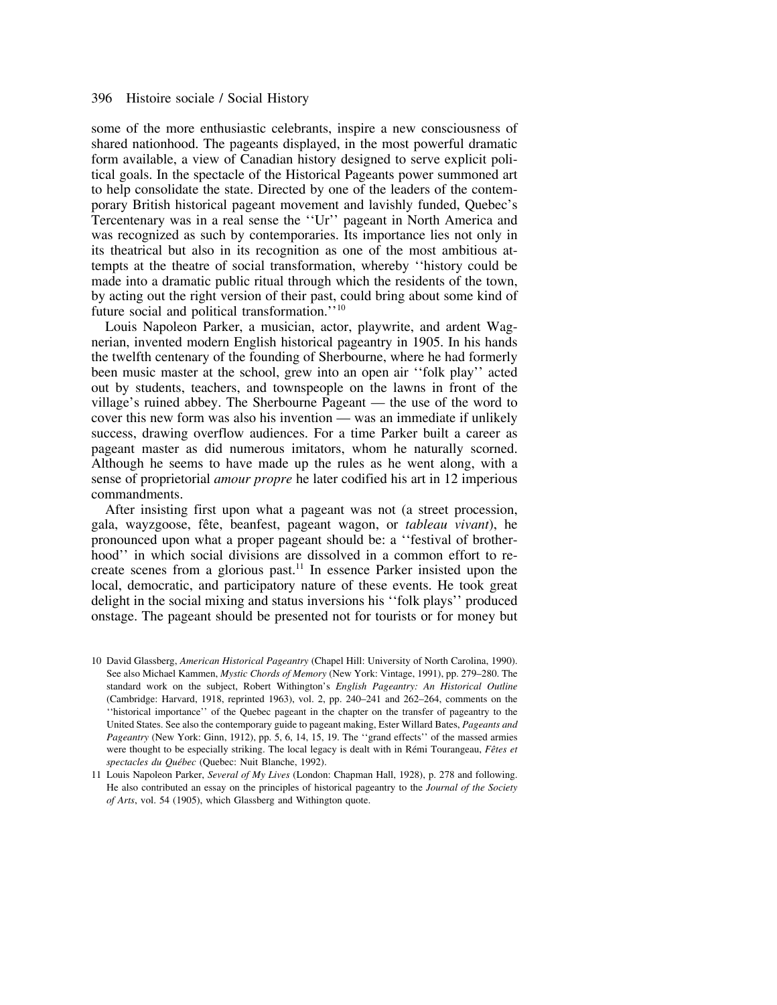some of the more enthusiastic celebrants, inspire a new consciousness of shared nationhood. The pageants displayed, in the most powerful dramatic form available, a view of Canadian history designed to serve explicit political goals. In the spectacle of the Historical Pageants power summoned art to help consolidate the state. Directed by one of the leaders of the contemporary British historical pageant movement and lavishly funded, Quebec's Tercentenary was in a real sense the "Ur" pageant in North America and was recognized as such by contemporaries. Its importance lies not only in its theatrical but also in its recognition as one of the most ambitious attempts at the theatre of social transformation, whereby "history could be made into a dramatic public ritual through which the residents of the town, by acting out the right version of their past, could bring about some kind of future social and political transformation. $\cdot$ <sup>10</sup>

Louis Napoleon Parker, a musician, actor, playwrite, and ardent Wagnerian, invented modern English historical pageantry in 1905. In his hands the twelfth centenary of the founding of Sherbourne, where he had formerly been music master at the school, grew into an open air "folk play" acted out by students, teachers, and townspeople on the lawns in front of the village's ruined abbey. The Sherbourne Pageant — the use of the word to cover this new form was also his invention  $\sim$  was an immediate if unlikely success, drawing overflow audiences. For a time Parker built a career as pageant master as did numerous imitators, whom he naturally scorned. Although he seems to have made up the rules as he went along, with a sense of proprietorial *amour propre* he later codified his art in 12 imperious commandments.

After insisting first upon what a pageant was not (a street procession, gala, wayzgoose, fête, beanfest, pageant wagon, or *tableau vivant*), he pronounced upon what a proper pageant should be: a "festival of brotherhood" in which social divisions are dissolved in a common effort to recreate scenes from a glorious past.<sup>11</sup> In essence Parker insisted upon the local, democratic, and participatory nature of these events. He took great delight in the social mixing and status inversions his "folk plays" produced onstage. The pageant should be presented not for tourists or for money but

<sup>10</sup> David Glassberg, *American Historical Pageantry* (Chapel Hill: University of North Carolina, 1990). See also Michael Kammen, *Mystic Chords of Memory* (New York: Vintage, 1991), pp. 279–280. The standard work on the subject, Robert Withington's *English Pageantry: An Historical Outline* (Cambridge: Harvard, 1918, reprinted 1963), vol. 2, pp. 240-241 and 262-264, comments on the "historical importance" of the Quebec pageant in the chapter on the transfer of pageantry to the United States. See also the contemporary guide to pageant making, Ester Willard Bates, *Pageants and Pageantry* (New York: Ginn, 1912), pp. 5, 6, 14, 15, 19. The "grand effects" of the massed armies were thought to be especially striking. The local legacy is dealt with in Rémi Tourangeau, *Fêtes et spectacles du Québec* (Quebec: Nuit Blanche, 1992).

<sup>11</sup> Louis Napoleon Parker, *Several of My Lives* (London: Chapman Hall, 1928), p. 278 and following. He also contributed an essay on the principles of historical pageantry to the *Journal of the Society of Arts*, vol. 54 (1905), which Glassberg and Withington quote.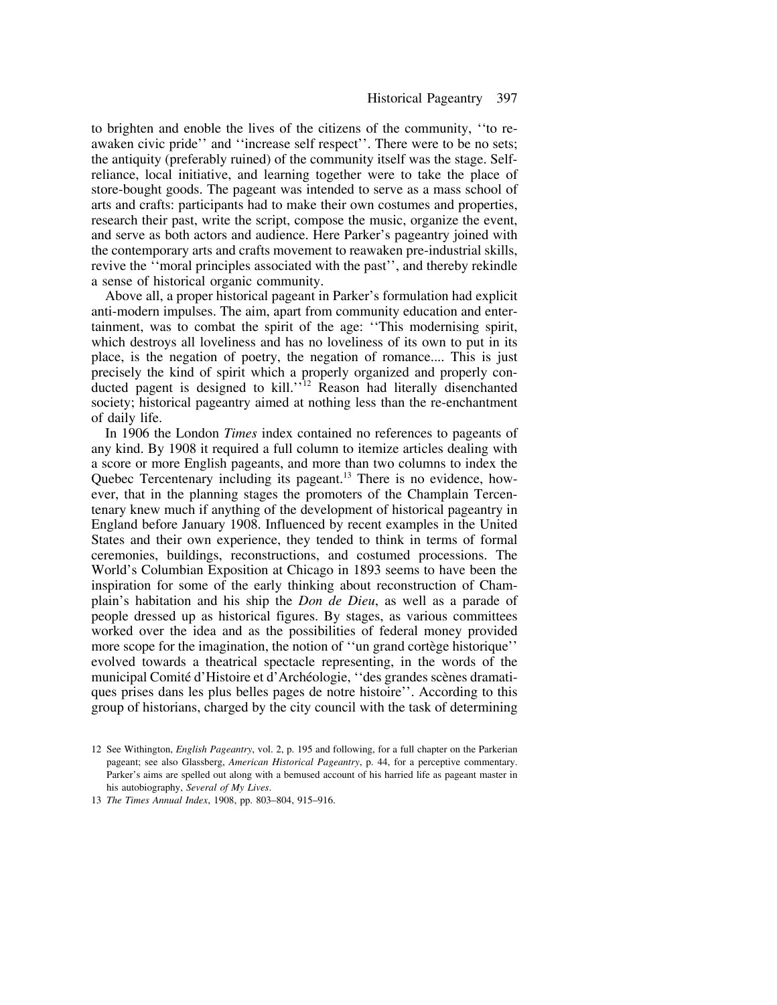to brighten and enoble the lives of the citizens of the community, "to reawaken civic pride" and "increase self respect". There were to be no sets; the antiquity (preferably ruined) of the community itself was the stage. Selfreliance, local initiative, and learning together were to take the place of store-bought goods. The pageant was intended to serve as a mass school of arts and crafts: participants had to make their own costumes and properties, research their past, write the script, compose the music, organize the event, and serve as both actors and audience. Here Parker's pageantry joined with the contemporary arts and crafts movement to reawaken pre-industrial skills, revive the "moral principles associated with the past", and thereby rekindle a sense of historical organic community.

Above all, a proper historical pageant in Parker's formulation had explicit anti-modern impulses. The aim, apart from community education and entertainment, was to combat the spirit of the age: "This modernising spirit, which destroys all loveliness and has no loveliness of its own to put in its place, is the negation of poetry, the negation of romance.... This is just precisely the kind of spirit which a properly organized and properly conducted pagent is designed to kill.<sup> $, 12$ </sup> Reason had literally disenchanted society; historical pageantry aimed at nothing less than the re-enchantment of daily life.

In 1906 the London *Times* index contained no references to pageants of any kind. By 1908 it required a full column to itemize articles dealing with a score or more English pageants, and more than two columns to index the Quebec Tercentenary including its pageant.<sup>13</sup> There is no evidence, however, that in the planning stages the promoters of the Champlain Tercentenary knew much if anything of the development of historical pageantry in England before January 1908. Influenced by recent examples in the United States and their own experience, they tended to think in terms of formal ceremonies, buildings, reconstructions, and costumed processions. The World's Columbian Exposition at Chicago in 1893 seems to have been the inspiration for some of the early thinking about reconstruction of Champlain's habitation and his ship the *Don de Dieu*, as well as a parade of people dressed up as historical figures. By stages, as various committees worked over the idea and as the possibilities of federal money provided more scope for the imagination, the notion of "un grand cortège historique" evolved towards a theatrical spectacle representing, in the words of the municipal Comité d'Histoire et d'Archéologie, "des grandes scènes dramatiques prises dans les plus belles pages de notre histoire<sup>37</sup>. According to this group of historians, charged by the city council with the task of determining

<sup>12</sup> See Withington, *English Pageantry*, vol. 2, p. 195 and following, for a full chapter on the Parkerian pageant; see also Glassberg, *American Historical Pageantry*, p. 44, for a perceptive commentary. Parker's aims are spelled out along with a bemused account of his harried life as pageant master in his autobiography, *Several of My Lives*.

<sup>13</sup> *The Times Annual Index*, 1908, pp. 803-804, 915-916.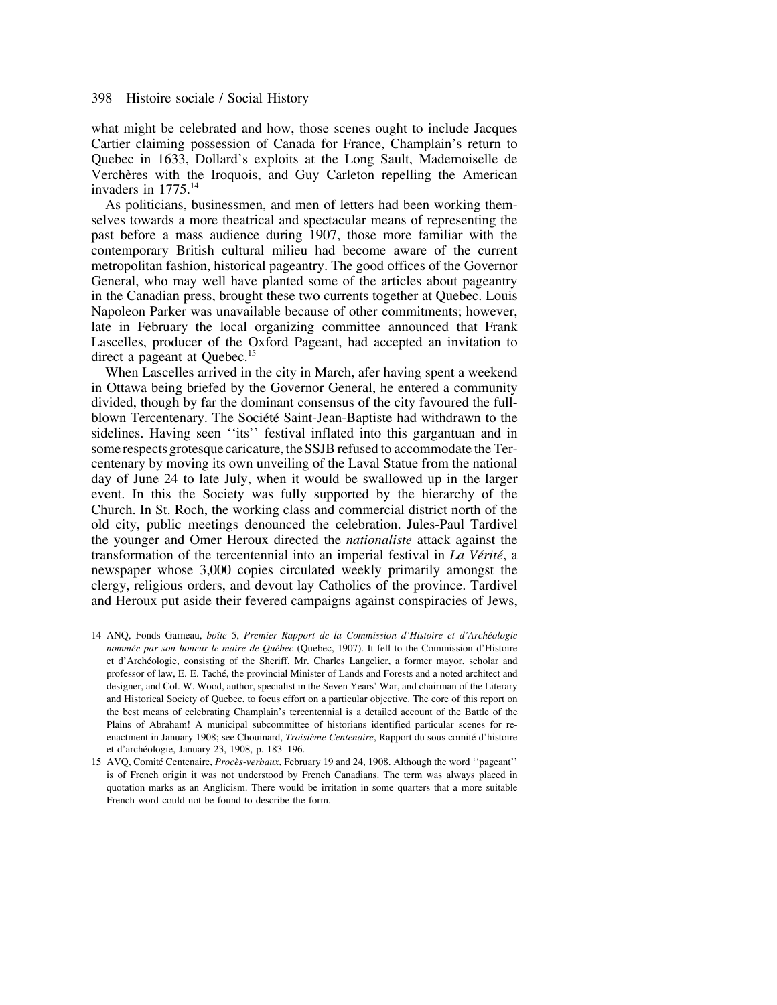what might be celebrated and how, those scenes ought to include Jacques Cartier claiming possession of Canada for France, Champlain's return to Quebec in 1633, Dollard's exploits at the Long Sault, Mademoiselle de Verchères with the Iroquois, and Guy Carleton repelling the American invaders in 1775.<sup>14</sup>

As politicians, businessmen, and men of letters had been working themselves towards a more theatrical and spectacular means of representing the past before a mass audience during 1907, those more familiar with the contemporary British cultural milieu had become aware of the current metropolitan fashion, historical pageantry. The good offices of the Governor General, who may well have planted some of the articles about pageantry in the Canadian press, brought these two currents together at Quebec. Louis Napoleon Parker was unavailable because of other commitments; however, late in February the local organizing committee announced that Frank Lascelles, producer of the Oxford Pageant, had accepted an invitation to direct a pageant at Quebec.<sup>15</sup>

When Lascelles arrived in the city in March, afer having spent a weekend in Ottawa being briefed by the Governor General, he entered a community divided, though by far the dominant consensus of the city favoured the fullblown Tercentenary. The Société Saint-Jean-Baptiste had withdrawn to the sidelines. Having seen "its" festival inflated into this gargantuan and in some respects grotesque caricature, the SSJB refused to accommodate the Tercentenary by moving its own unveiling of the Laval Statue from the national day of June 24 to late July, when it would be swallowed up in the larger event. In this the Society was fully supported by the hierarchy of the Church. In St. Roch, the working class and commercial district north of the old city, public meetings denounced the celebration. Jules-Paul Tardivel the younger and Omer Heroux directed the *nationaliste* attack against the transformation of the tercentennial into an imperial festival in *La Vérité*, a newspaper whose 3,000 copies circulated weekly primarily amongst the clergy, religious orders, and devout lay Catholics of the province. Tardivel and Heroux put aside their fevered campaigns against conspiracies of Jews,

- 14 ANQ, Fonds Garneau, *boîte* 5, *Premier Rapport de la Commission d'Histoire et d'Archéologie nommée par son honeur le maire de Québec* (Quebec, 1907). It fell to the Commission d'Histoire et d'Archéologie, consisting of the Sheriff, Mr. Charles Langelier, a former mayor, scholar and professor of law, E. E. TachÈ, the provincial Minister of Lands and Forests and a noted architect and designer, and Col. W. Wood, author, specialist in the Seven Years' War, and chairman of the Literary and Historical Society of Quebec, to focus effort on a particular objective. The core of this report on the best means of celebrating Champlain's tercentennial is a detailed account of the Battle of the Plains of Abraham! A municipal subcommittee of historians identified particular scenes for reenactment in January 1908; see Chouinard, *Troisième Centenaire*, Rapport du sous comité d'histoire et d'archéologie, January 23, 1908, p. 183-196.
- 15 AVQ, Comité Centenaire, *Procès-verbaux*, February 19 and 24, 1908. Although the word "pageant" is of French origin it was not understood by French Canadians. The term was always placed in quotation marks as an Anglicism. There would be irritation in some quarters that a more suitable French word could not be found to describe the form.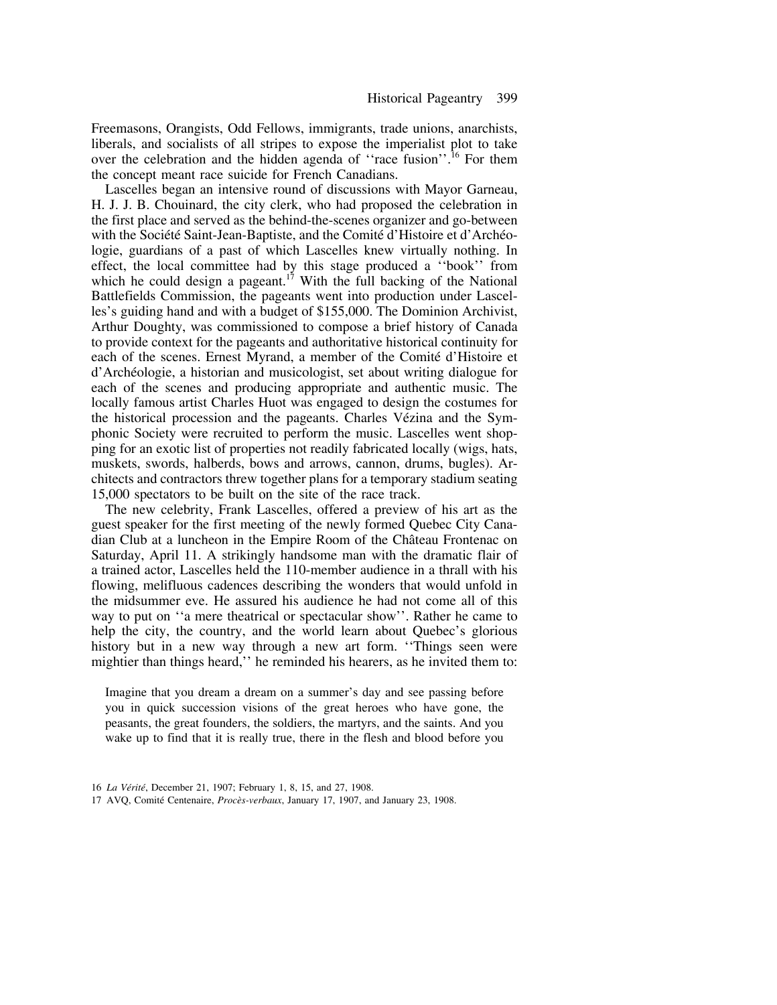Freemasons, Orangists, Odd Fellows, immigrants, trade unions, anarchists, liberals, and socialists of all stripes to expose the imperialist plot to take over the celebration and the hidden agenda of "race fusion".<sup>16</sup> For them the concept meant race suicide for French Canadians.

Lascelles began an intensive round of discussions with Mayor Garneau, H. J. J. B. Chouinard, the city clerk, who had proposed the celebration in the first place and served as the behind-the-scenes organizer and go-between with the Société Saint-Jean-Baptiste, and the Comité d'Histoire et d'Archéologie, guardians of a past of which Lascelles knew virtually nothing. In effect, the local committee had by this stage produced a "book" from which he could design a pageant.<sup>17</sup> With the full backing of the National Battlefields Commission, the pageants went into production under Lascelles's guiding hand and with a budget of \$155,000. The Dominion Archivist, Arthur Doughty, was commissioned to compose a brief history of Canada to provide context for the pageants and authoritative historical continuity for each of the scenes. Ernest Myrand, a member of the Comité d'Histoire et d'Archéologie, a historian and musicologist, set about writing dialogue for each of the scenes and producing appropriate and authentic music. The locally famous artist Charles Huot was engaged to design the costumes for the historical procession and the pageants. Charles Vézina and the Symphonic Society were recruited to perform the music. Lascelles went shopping for an exotic list of properties not readily fabricated locally (wigs, hats, muskets, swords, halberds, bows and arrows, cannon, drums, bugles). Architects and contractors threw together plans for a temporary stadium seating 15,000 spectators to be built on the site of the race track.

The new celebrity, Frank Lascelles, offered a preview of his art as the guest speaker for the first meeting of the newly formed Quebec City Canadian Club at a luncheon in the Empire Room of the Château Frontenac on Saturday, April 11. A strikingly handsome man with the dramatic flair of a trained actor, Lascelles held the 110-member audience in a thrall with his flowing, melifluous cadences describing the wonders that would unfold in the midsummer eve. He assured his audience he had not come all of this way to put on "a mere theatrical or spectacular show". Rather he came to help the city, the country, and the world learn about Quebec's glorious history but in a new way through a new art form. "Things seen were mightier than things heard," he reminded his hearers, as he invited them to:

Imagine that you dream a dream on a summer's day and see passing before you in quick succession visions of the great heroes who have gone, the peasants, the great founders, the soldiers, the martyrs, and the saints. And you wake up to find that it is really true, there in the flesh and blood before you

<sup>16</sup> *La Vérité*, December 21, 1907; February 1, 8, 15, and 27, 1908.

<sup>17</sup> AVQ, ComitÈ Centenaire, *Procès-verbaux*, January 17, 1907, and January 23, 1908.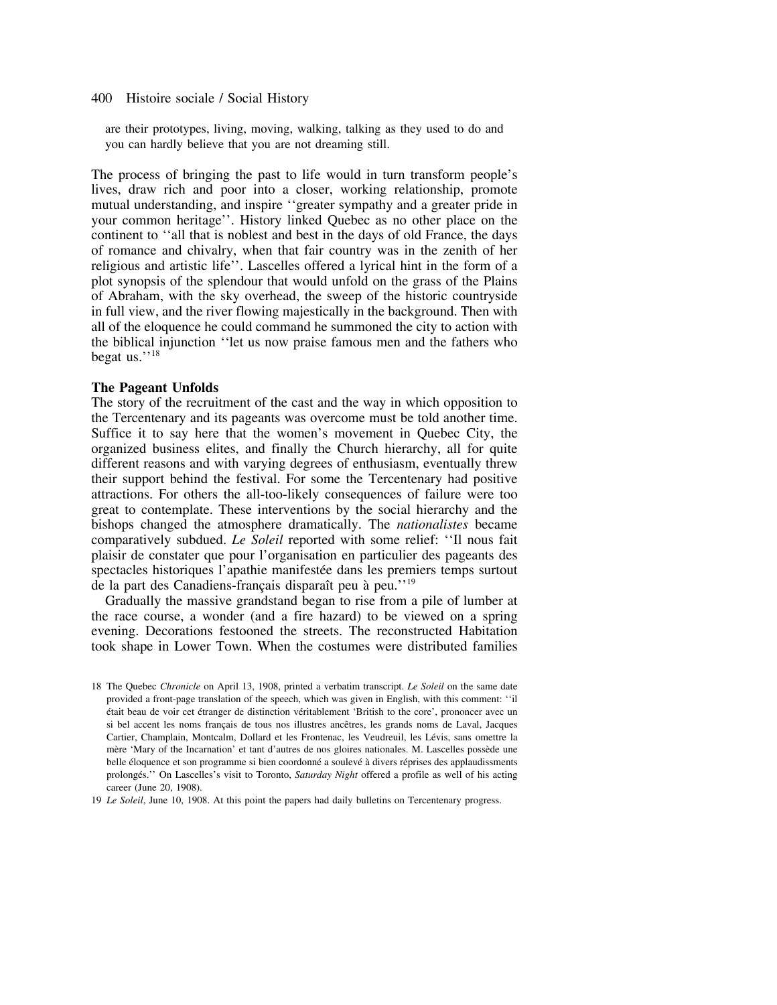are their prototypes, living, moving, walking, talking as they used to do and you can hardly believe that you are not dreaming still.

The process of bringing the past to life would in turn transform people's lives, draw rich and poor into a closer, working relationship, promote mutual understanding, and inspire "greater sympathy and a greater pride in your common heritage". History linked Quebec as no other place on the continent to "all that is noblest and best in the days of old France, the days of romance and chivalry, when that fair country was in the zenith of her religious and artistic life". Lascelles offered a lyrical hint in the form of a plot synopsis of the splendour that would unfold on the grass of the Plains of Abraham, with the sky overhead, the sweep of the historic countryside in full view, and the river flowing majestically in the background. Then with all of the eloquence he could command he summoned the city to action with the biblical injunction "let us now praise famous men and the fathers who begat us." $18$ 

#### **The Pageant Unfolds**

The story of the recruitment of the cast and the way in which opposition to the Tercentenary and its pageants was overcome must be told another time. Suffice it to say here that the women's movement in Quebec City, the organized business elites, and finally the Church hierarchy, all for quite different reasons and with varying degrees of enthusiasm, eventually threw their support behind the festival. For some the Tercentenary had positive attractions. For others the all-too-likely consequences of failure were too great to contemplate. These interventions by the social hierarchy and the bishops changed the atmosphere dramatically. The *nationalistes* became comparatively subdued. *Le Soleil* reported with some relief: "Il nous fait plaisir de constater que pour líorganisation en particulier des pageants des spectacles historiques l'apathie manifestée dans les premiers temps surtout de la part des Canadiens-français disparaît peu à peu.<sup>19</sup>

Gradually the massive grandstand began to rise from a pile of lumber at the race course, a wonder (and a fire hazard) to be viewed on a spring evening. Decorations festooned the streets. The reconstructed Habitation took shape in Lower Town. When the costumes were distributed families

- 18 The Quebec *Chronicle* on April 13, 1908, printed a verbatim transcript. *Le Soleil* on the same date provided a front-page translation of the speech, which was given in English, with this comment: "il était beau de voir cet étranger de distinction véritablement 'British to the core', prononcer avec un si bel accent les noms français de tous nos illustres ancêtres, les grands noms de Laval, Jacques Cartier, Champlain, Montcalm, Dollard et les Frontenac, les Veudreuil, les LÈvis, sans omettre la mère 'Mary of the Incarnation' et tant d'autres de nos gloires nationales. M. Lascelles possède une belle éloquence et son programme si bien coordonné a soulevé à divers réprises des applaudissments prolongés.<sup>1</sup> On Lascelles's visit to Toronto, *Saturday Night* offered a profile as well of his acting career (June 20, 1908).
- 19 *Le Soleil*, June 10, 1908. At this point the papers had daily bulletins on Tercentenary progress.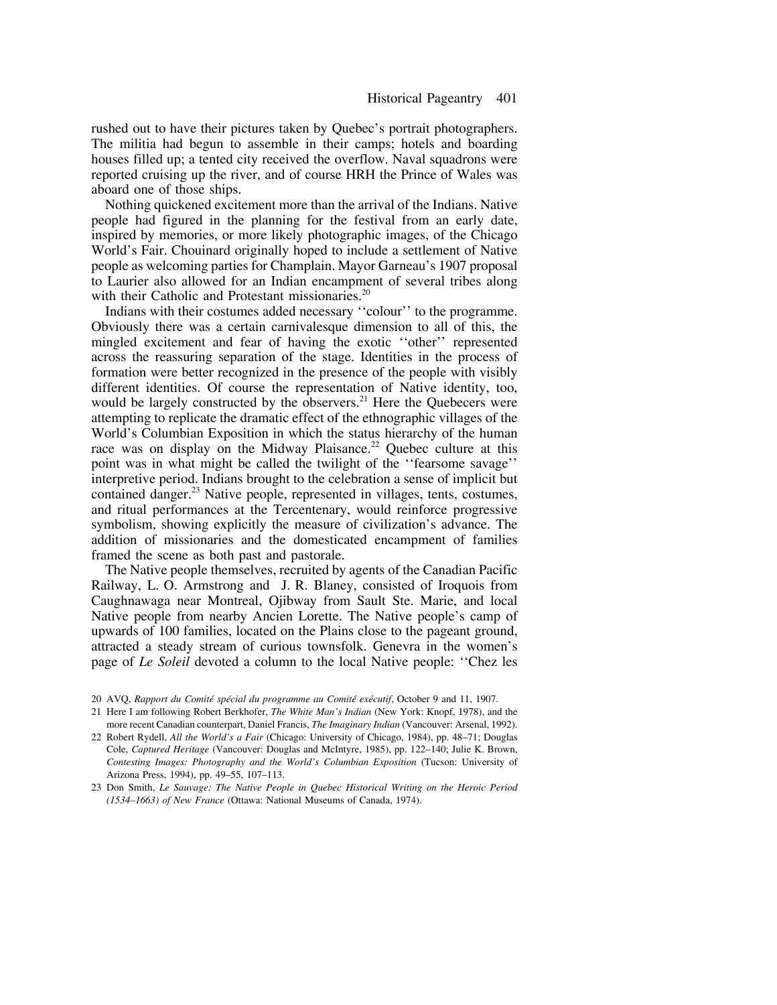rushed out to have their pictures taken by Quebec's portrait photographers. The militia had begun to assemble in their camps; hotels and boarding houses filled up; a tented city received the overflow. Naval squadrons were reported cruising up the river, and of course HRH the Prince of Wales was aboard one of those ships.

Nothing quickened excitement more than the arrival of the Indians. Native people had figured in the planning for the festival from an early date, inspired by memories, or more likely photographic images, of the Chicago World's Fair. Chouinard originally hoped to include a settlement of Native people as welcoming parties for Champlain. Mayor Garneau's 1907 proposal to Laurier also allowed for an Indian encampment of several tribes along with their Catholic and Protestant missionaries.<sup>20</sup>

Indians with their costumes added necessary "colour" to the programme. Obviously there was a certain carnivalesque dimension to all of this, the mingled excitement and fear of having the exotic "other" represented across the reassuring separation of the stage. Identities in the process of formation were better recognized in the presence of the people with visibly different identities. Of course the representation of Native identity, too, would be largely constructed by the observers.<sup>21</sup> Here the Quebecers were attempting to replicate the dramatic effect of the ethnographic villages of the World's Columbian Exposition in which the status hierarchy of the human race was on display on the Midway Plaisance.<sup>22</sup> Quebec culture at this point was in what might be called the twilight of the "fearsome savage" interpretive period. Indians brought to the celebration a sense of implicit but contained danger.<sup>23</sup> Native people, represented in villages, tents, costumes, and ritual performances at the Tercentenary, would reinforce progressive symbolism, showing explicitly the measure of civilization's advance. The addition of missionaries and the domesticated encampment of families framed the scene as both past and pastorale.

The Native people themselves, recruited by agents of the Canadian Pacific Railway, L. O. Armstrong and J. R. Blaney, consisted of Iroquois from Caughnawaga near Montreal, Ojibway from Sault Ste. Marie, and local Native people from nearby Ancien Lorette. The Native people's camp of upwards of 100 families, located on the Plains close to the pageant ground, attracted a steady stream of curious townsfolk. Genevra in the womenís page of *Le Soleil* devoted a column to the local Native people: "Chez les

- 20 AVQ, *Rapport du Comité spécial du programme au Comité exécutif*, October 9 and 11, 1907.
- 21 Here I am following Robert Berkhofer, *The White Man's Indian* (New York: Knopf, 1978), and the more recent Canadian counterpart, Daniel Francis, *The Imaginary Indian* (Vancouver: Arsenal, 1992).
- 22 Robert Rydell, *All the World's a Fair* (Chicago: University of Chicago, 1984), pp. 48–71; Douglas Cole, *Captured Heritage* (Vancouver: Douglas and McIntyre, 1985), pp. 122–140; Julie K. Brown, *Contesting Images: Photography and the World's Columbian Exposition* (Tucson: University of Arizona Press, 1994), pp. 49-55, 107-113.
- 23 Don Smith, *Le Sauvage: The Native People in Quebec Historical Writing on the Heroic Period (1534–1663) of New France* (Ottawa: National Museums of Canada, 1974).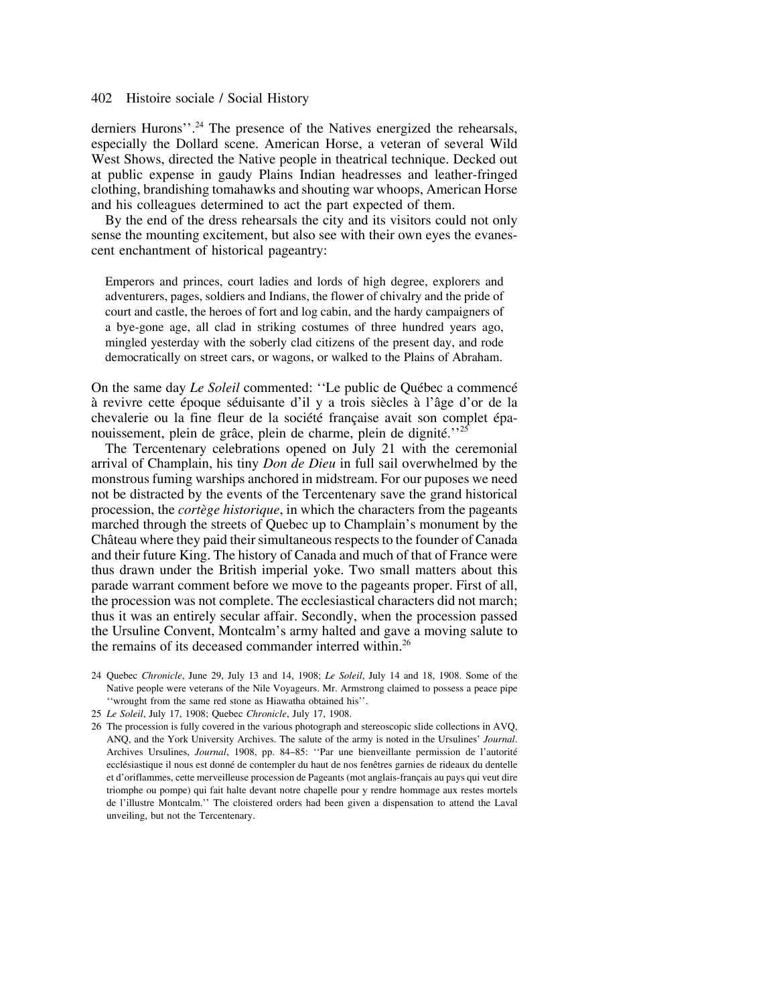derniers Hurons".<sup>24</sup> The presence of the Natives energized the rehearsals, especially the Dollard scene. American Horse, a veteran of several Wild West Shows, directed the Native people in theatrical technique. Decked out at public expense in gaudy Plains Indian headresses and leather-fringed clothing, brandishing tomahawks and shouting war whoops, American Horse and his colleagues determined to act the part expected of them.

By the end of the dress rehearsals the city and its visitors could not only sense the mounting excitement, but also see with their own eyes the evanescent enchantment of historical pageantry:

Emperors and princes, court ladies and lords of high degree, explorers and adventurers, pages, soldiers and Indians, the flower of chivalry and the pride of court and castle, the heroes of fort and log cabin, and the hardy campaigners of a bye-gone age, all clad in striking costumes of three hundred years ago, mingled yesterday with the soberly clad citizens of the present day, and rode democratically on street cars, or wagons, or walked to the Plains of Abraham.

On the same day Le Soleil commented: "Le public de Québec a commencé à revivre cette époque séduisante d'il y a trois siècles à l'âge d'or de la chevalerie ou la fine fleur de la société française avait son complet épanouissement, plein de grâce, plein de charme, plein de dignité."<sup>25</sup>

The Tercentenary celebrations opened on July 21 with the ceremonial arrival of Champlain, his tiny *Don de Dieu* in full sail overwhelmed by the monstrous fuming warships anchored in midstream. For our puposes we need not be distracted by the events of the Tercentenary save the grand historical procession, the *cortège historique*, in which the characters from the pageants marched through the streets of Quebec up to Champlain's monument by the Château where they paid their simultaneous respects to the founder of Canada and their future King. The history of Canada and much of that of France were thus drawn under the British imperial yoke. Two small matters about this parade warrant comment before we move to the pageants proper. First of all, the procession was not complete. The ecclesiastical characters did not march; thus it was an entirely secular affair. Secondly, when the procession passed the Ursuline Convent, Montcalm's army halted and gave a moving salute to the remains of its deceased commander interred within.<sup>26</sup>

- 24 Quebec Chronicle, June 29, July 13 and 14, 1908; Le Soleil, July 14 and 18, 1908. Some of the Native people were veterans of the Nile Voyageurs. Mr. Armstrong claimed to possess a peace pipe "wrought from the same red stone as Hiawatha obtained his".
- 25 Le Soleil, July 17, 1908; Quebec Chronicle, July 17, 1908.
- 26 The procession is fully covered in the various photograph and stereoscopic slide collections in AVQ, ANQ, and the York University Archives. The salute of the army is noted in the Ursulines' Journal. Archives Ursulines, Journal, 1908, pp. 84-85: "Par une bienveillante permission de l'autorité ecclésiastique il nous est donné de contempler du haut de nos fenêtres garnies de rideaux du dentelle et d'oriflammes, cette merveilleuse procession de Pageants (mot anglais-français au pays qui veut dire triomphe ou pompe) qui fait halte devant notre chapelle pour y rendre hommage aux restes mortels de l'illustre Montcalm." The cloistered orders had been given a dispensation to attend the Laval unveiling, but not the Tercentenary.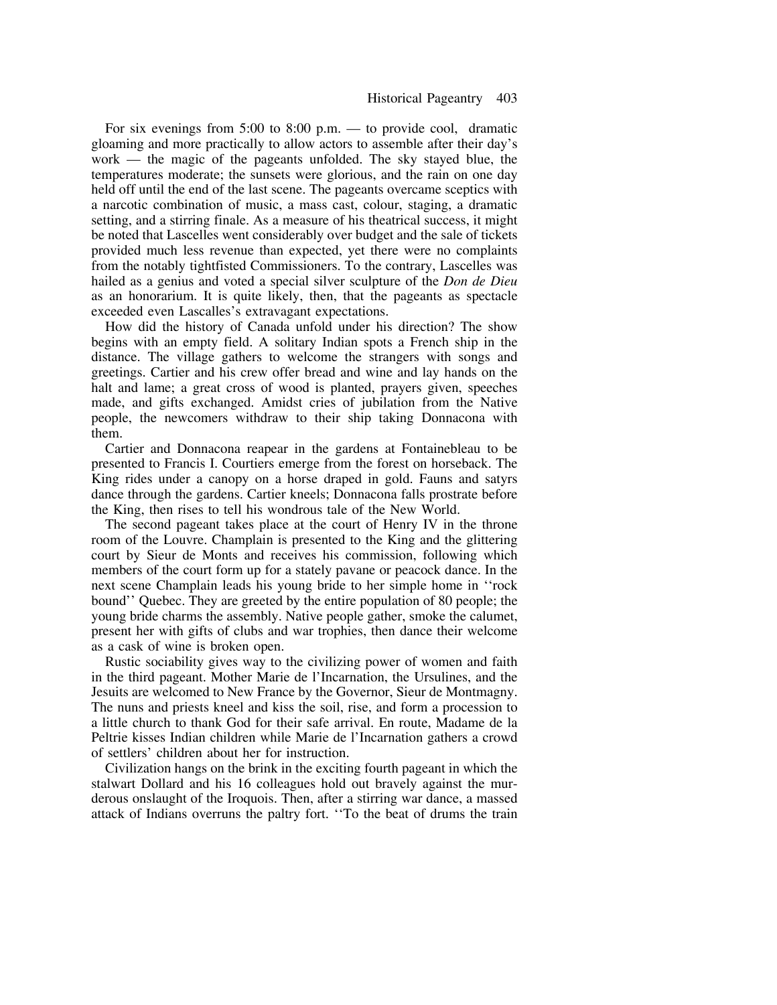For six evenings from  $5:00$  to  $8:00$  p.m.  $-$  to provide cool, dramatic gloaming and more practically to allow actors to assemble after their day's work  $-$  the magic of the pageants unfolded. The sky stayed blue, the temperatures moderate; the sunsets were glorious, and the rain on one day held off until the end of the last scene. The pageants overcame sceptics with a narcotic combination of music, a mass cast, colour, staging, a dramatic setting, and a stirring finale. As a measure of his theatrical success, it might be noted that Lascelles went considerably over budget and the sale of tickets provided much less revenue than expected, yet there were no complaints from the notably tightfisted Commissioners. To the contrary, Lascelles was hailed as a genius and voted a special silver sculpture of the *Don de Dieu* as an honorarium. It is quite likely, then, that the pageants as spectacle exceeded even Lascalles's extravagant expectations.

How did the history of Canada unfold under his direction? The show begins with an empty field. A solitary Indian spots a French ship in the distance. The village gathers to welcome the strangers with songs and greetings. Cartier and his crew offer bread and wine and lay hands on the halt and lame; a great cross of wood is planted, prayers given, speeches made, and gifts exchanged. Amidst cries of jubilation from the Native people, the newcomers withdraw to their ship taking Donnacona with them.

Cartier and Donnacona reapear in the gardens at Fontainebleau to be presented to Francis I. Courtiers emerge from the forest on horseback. The King rides under a canopy on a horse draped in gold. Fauns and satyrs dance through the gardens. Cartier kneels; Donnacona falls prostrate before the King, then rises to tell his wondrous tale of the New World.

The second pageant takes place at the court of Henry IV in the throne room of the Louvre. Champlain is presented to the King and the glittering court by Sieur de Monts and receives his commission, following which members of the court form up for a stately pavane or peacock dance. In the next scene Champlain leads his young bride to her simple home in "rock" bound'' Quebec. They are greeted by the entire population of 80 people; the young bride charms the assembly. Native people gather, smoke the calumet, present her with gifts of clubs and war trophies, then dance their welcome as a cask of wine is broken open.

Rustic sociability gives way to the civilizing power of women and faith in the third pageant. Mother Marie de l'Incarnation, the Ursulines, and the Jesuits are welcomed to New France by the Governor, Sieur de Montmagny. The nuns and priests kneel and kiss the soil, rise, and form a procession to a little church to thank God for their safe arrival. En route, Madame de la Peltrie kisses Indian children while Marie de l'Incarnation gathers a crowd of settlers' children about her for instruction.

Civilization hangs on the brink in the exciting fourth pageant in which the stalwart Dollard and his 16 colleagues hold out bravely against the murderous onslaught of the Iroquois. Then, after a stirring war dance, a massed attack of Indians overruns the paltry fort. "To the beat of drums the train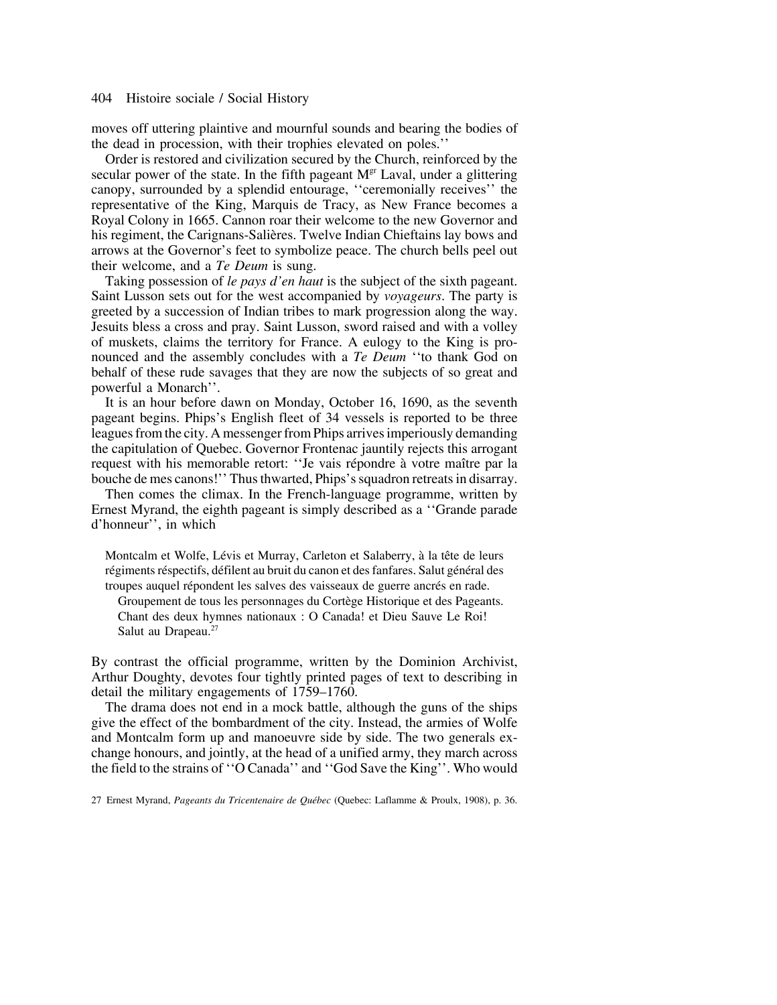moves off uttering plaintive and mournful sounds and bearing the bodies of the dead in procession, with their trophies elevated on poles.<sup>11</sup>

Order is restored and civilization secured by the Church, reinforced by the secular power of the state. In the fifth pageant  $M<sup>gr</sup>$  Laval, under a glittering canopy, surrounded by a splendid entourage, "ceremonially receives" the representative of the King, Marquis de Tracy, as New France becomes a Royal Colony in 1665. Cannon roar their welcome to the new Governor and his regiment, the Carignans-Salières. Twelve Indian Chieftains lay bows and arrows at the Governor's feet to symbolize peace. The church bells peel out their welcome, and a *Te Deum* is sung.

Taking possession of *le pays d'en haut* is the subject of the sixth pageant. Saint Lusson sets out for the west accompanied by *voyageurs*. The party is greeted by a succession of Indian tribes to mark progression along the way. Jesuits bless a cross and pray. Saint Lusson, sword raised and with a volley of muskets, claims the territory for France. A eulogy to the King is pronounced and the assembly concludes with a *Te Deum* "to thank God on behalf of these rude savages that they are now the subjects of so great and powerful a Monarch<sup>'</sup>'.

It is an hour before dawn on Monday, October 16, 1690, as the seventh pageant begins. Phips's English fleet of 34 vessels is reported to be three leagues from the city. A messenger from Phips arrives imperiously demanding the capitulation of Quebec. Governor Frontenac jauntily rejects this arrogant request with his memorable retort: "Je vais répondre à votre maître par la bouche de mes canons!" Thus thwarted, Phips's squadron retreats in disarray.

Then comes the climax. In the French-language programme, written by Ernest Myrand, the eighth pageant is simply described as a "Grande parade" d'honneur'', in which

Montcalm et Wolfe, Lévis et Murray, Carleton et Salaberry, à la tête de leurs régiments réspectifs, défilent au bruit du canon et des fanfares. Salut général des troupes auquel répondent les salves des vaisseaux de guerre ancrés en rade.

Groupement de tous les personnages du Cortège Historique et des Pageants. Chant des deux hymnes nationaux : O Canada! et Dieu Sauve Le Roi! Salut au Drapeau.<sup>27</sup>

By contrast the official programme, written by the Dominion Archivist, Arthur Doughty, devotes four tightly printed pages of text to describing in detail the military engagements of  $1759-1760$ .

The drama does not end in a mock battle, although the guns of the ships give the effect of the bombardment of the city. Instead, the armies of Wolfe and Montcalm form up and manoeuvre side by side. The two generals exchange honours, and jointly, at the head of a unified army, they march across the field to the strains of "O Canada" and "God Save the King". Who would

27 Ernest Myrand, *Pageants du Tricentenaire de Québec* (Quebec: Laflamme & Proulx, 1908), p. 36.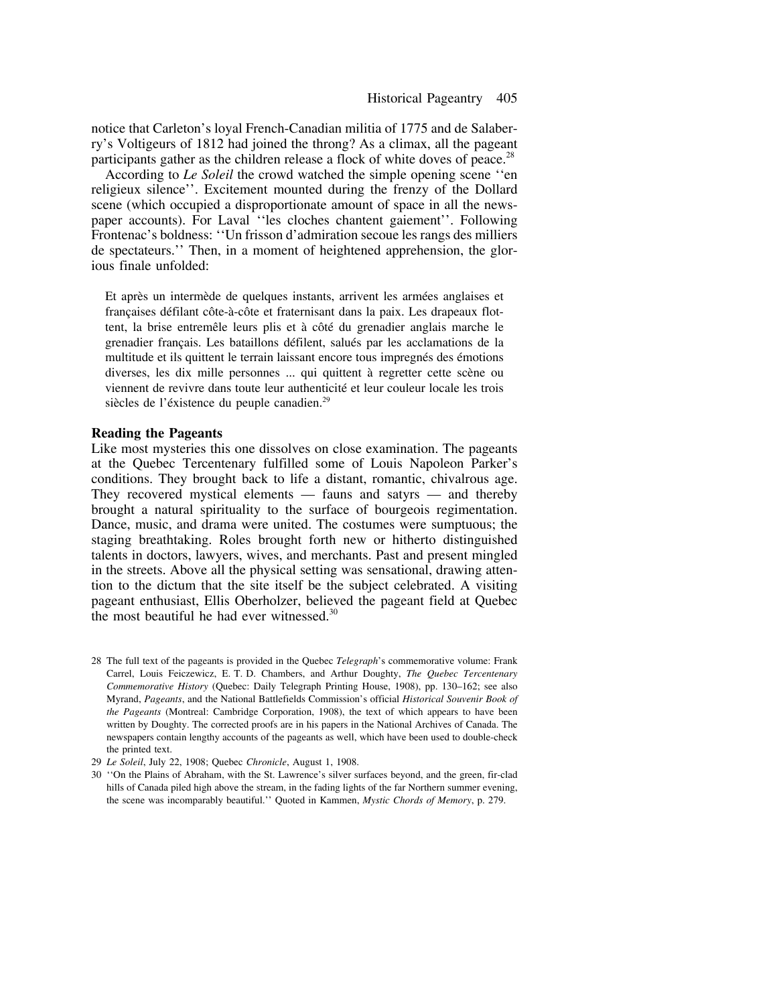notice that Carleton's loyal French-Canadian militia of 1775 and de Salaberry's Voltigeurs of 1812 had joined the throng? As a climax, all the pageant participants gather as the children release a flock of white doves of peace.<sup>28</sup>

According to Le Soleil the crowd watched the simple opening scene "en" religieux silence". Excitement mounted during the frenzy of the Dollard scene (which occupied a disproportionate amount of space in all the newspaper accounts). For Laval "les cloches chantent gaiement". Following Frontenac's boldness: "Un frisson d'admiration secoue les rangs des milliers de spectateurs." Then, in a moment of heightened apprehension, the glorious finale unfolded:

Et après un intermède de quelques instants, arrivent les armées anglaises et françaises défilant côte-à-côte et fraternisant dans la paix. Les drapeaux flottent, la brise entremêle leurs plis et à côté du grenadier anglais marche le grenadier français. Les bataillons défilent, salués par les acclamations de la multitude et ils quittent le terrain laissant encore tous impregnés des émotions diverses, les dix mille personnes ... qui quittent à regretter cette scène ou viennent de revivre dans toute leur authenticité et leur couleur locale les trois siècles de l'éxistence du peuple canadien.<sup>29</sup>

#### **Reading the Pageants**

Like most mysteries this one dissolves on close examination. The pageants at the Quebec Tercentenary fulfilled some of Louis Napoleon Parker's conditions. They brought back to life a distant, romantic, chivalrous age. They recovered mystical elements  $-$  fauns and satyrs  $-$  and thereby brought a natural spirituality to the surface of bourgeois regimentation. Dance, music, and drama were united. The costumes were sumptuous; the staging breathtaking. Roles brought forth new or hitherto distinguished talents in doctors, lawyers, wives, and merchants. Past and present mingled in the streets. Above all the physical setting was sensational, drawing attention to the dictum that the site itself be the subject celebrated. A visiting pageant enthusiast, Ellis Oberholzer, believed the pageant field at Quebec the most beautiful he had ever witnessed.<sup>30</sup>

- 28 The full text of the pageants is provided in the Quebec Telegraph's commemorative volume: Frank Carrel, Louis Feiczewicz, E. T. D. Chambers, and Arthur Doughty, The Quebec Tercentenary Commemorative History (Quebec: Daily Telegraph Printing House, 1908), pp. 130–162; see also Myrand, Pageants, and the National Battlefields Commission's official Historical Souvenir Book of the Pageants (Montreal: Cambridge Corporation, 1908), the text of which appears to have been written by Doughty. The corrected proofs are in his papers in the National Archives of Canada. The newspapers contain lengthy accounts of the pageants as well, which have been used to double-check the printed text.
- 29 Le Soleil, July 22, 1908; Quebec Chronicle, August 1, 1908.
- 30 "On the Plains of Abraham, with the St. Lawrence's silver surfaces beyond, and the green, fir-clad hills of Canada piled high above the stream, in the fading lights of the far Northern summer evening, the scene was incomparably beautiful." Quoted in Kammen, Mystic Chords of Memory, p. 279.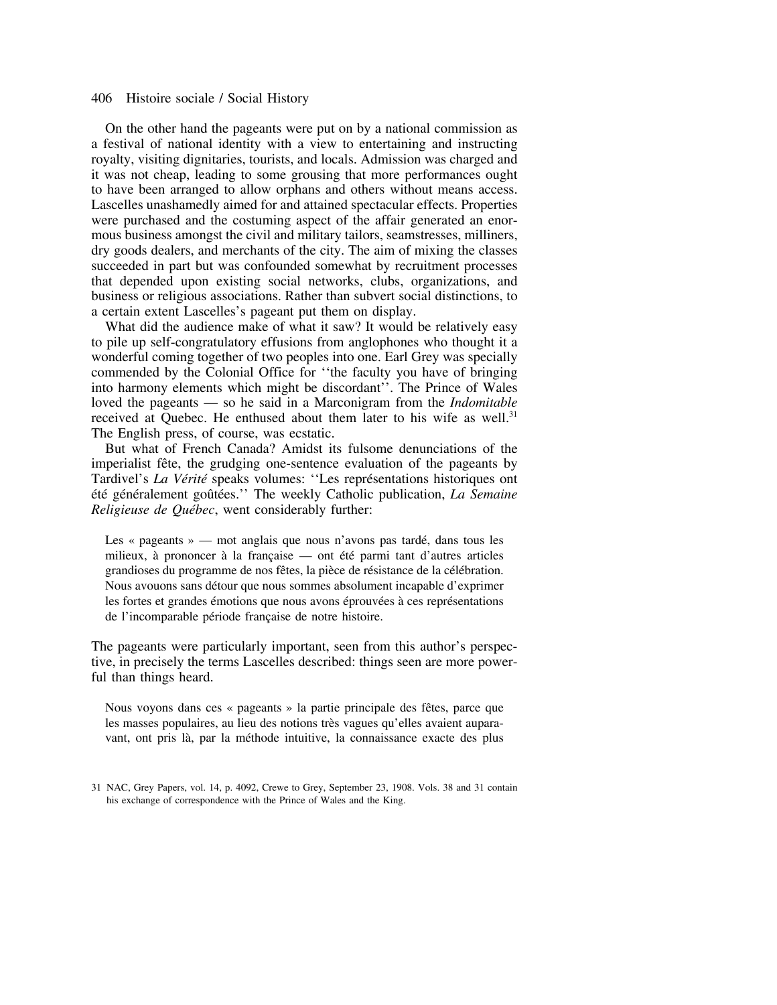On the other hand the pageants were put on by a national commission as a festival of national identity with a view to entertaining and instructing royalty, visiting dignitaries, tourists, and locals. Admission was charged and it was not cheap, leading to some grousing that more performances ought to have been arranged to allow orphans and others without means access. Lascelles unashamedly aimed for and attained spectacular effects. Properties were purchased and the costuming aspect of the affair generated an enormous business amongst the civil and military tailors, seamstresses, milliners, dry goods dealers, and merchants of the city. The aim of mixing the classes succeeded in part but was confounded somewhat by recruitment processes that depended upon existing social networks, clubs, organizations, and business or religious associations. Rather than subvert social distinctions, to a certain extent Lascelles's pageant put them on display.

What did the audience make of what it saw? It would be relatively easy to pile up self-congratulatory effusions from anglophones who thought it a wonderful coming together of two peoples into one. Earl Grey was specially commended by the Colonial Office for "the faculty you have of bringing into harmony elements which might be discordant". The Prince of Wales loved the pageants — so he said in a Marconigram from the *Indomitable* received at Quebec. He enthused about them later to his wife as well.<sup>31</sup> The English press, of course, was ecstatic.

But what of French Canada? Amidst its fulsome denunciations of the imperialist fête, the grudging one-sentence evaluation of the pageants by Tardivel's La Vérité speaks volumes: "Les représentations historiques ont été généralement goûtées." The weekly Catholic publication, La Semaine Religieuse de Québec, went considerably further:

Les « pageants » — mot anglais que nous n'avons pas tardé, dans tous les milieux, à prononcer à la française — ont été parmi tant d'autres articles grandioses du programme de nos fêtes, la pièce de résistance de la célébration. Nous avouons sans détour que nous sommes absolument incapable d'exprimer les fortes et grandes émotions que nous avons éprouvées à ces représentations de l'incomparable période française de notre histoire.

The pageants were particularly important, seen from this author's perspective, in precisely the terms Lascelles described: things seen are more powerful than things heard.

Nous voyons dans ces « pageants » la partie principale des fêtes, parce que les masses populaires, au lieu des notions très vagues qu'elles avaient auparavant, ont pris là, par la méthode intuitive, la connaissance exacte des plus

<sup>31</sup> NAC, Grey Papers, vol. 14, p. 4092, Crewe to Grey, September 23, 1908. Vols. 38 and 31 contain his exchange of correspondence with the Prince of Wales and the King.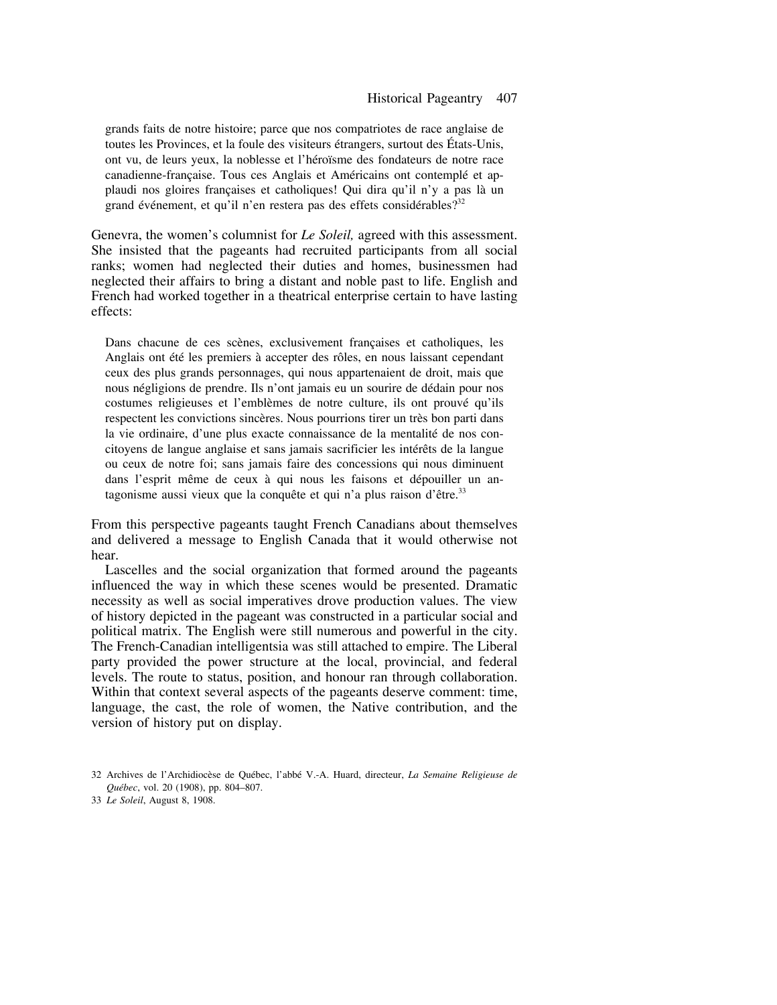grands faits de notre histoire; parce que nos compatriotes de race anglaise de toutes les Provinces, et la foule des visiteurs étrangers, surtout des États-Unis, ont vu, de leurs yeux, la noblesse et l'héroïsme des fondateurs de notre race canadienne-française. Tous ces Anglais et Américains ont contemplé et applaudi nos gloires françaises et catholiques! Qui dira qu'il n'y a pas là un grand événement, et qu'il n'en restera pas des effets considérables?<sup>32</sup>

Genevra, the women's columnist for *Le Soleil*, agreed with this assessment. She insisted that the pageants had recruited participants from all social ranks; women had neglected their duties and homes, businessmen had neglected their affairs to bring a distant and noble past to life. English and French had worked together in a theatrical enterprise certain to have lasting effects:

Dans chacune de ces scènes, exclusivement françaises et catholiques, les Anglais ont été les premiers à accepter des rôles, en nous laissant cependant ceux des plus grands personnages, qui nous appartenaient de droit, mais que nous négligions de prendre. Ils n'ont jamais eu un sourire de dédain pour nos costumes religieuses et l'emblèmes de notre culture, ils ont prouvé qu'ils respectent les convictions sincères. Nous pourrions tirer un très bon parti dans la vie ordinaire, d'une plus exacte connaissance de la mentalité de nos concitovens de langue anglaise et sans jamais sacrificier les intérêts de la langue ou ceux de notre foi; sans jamais faire des concessions qui nous diminuent dans l'esprit même de ceux à qui nous les faisons et dépouiller un antagonisme aussi vieux que la conquête et qui n'a plus raison d'être.<sup>33</sup>

From this perspective pageants taught French Canadians about themselves and delivered a message to English Canada that it would otherwise not hear.

Lascelles and the social organization that formed around the pageants influenced the way in which these scenes would be presented. Dramatic necessity as well as social imperatives drove production values. The view of history depicted in the pageant was constructed in a particular social and political matrix. The English were still numerous and powerful in the city. The French-Canadian intelligentsia was still attached to empire. The Liberal party provided the power structure at the local, provincial, and federal levels. The route to status, position, and honour ran through collaboration. Within that context several aspects of the pageants deserve comment: time, language, the cast, the role of women, the Native contribution, and the version of history put on display.

<sup>32</sup> Archives de l'Archidiocèse de Québec, l'abbé V.-A. Huard, directeur, La Semaine Religieuse de Ouébec, vol. 20 (1908), pp. 804-807.

<sup>33</sup> Le Soleil, August 8, 1908.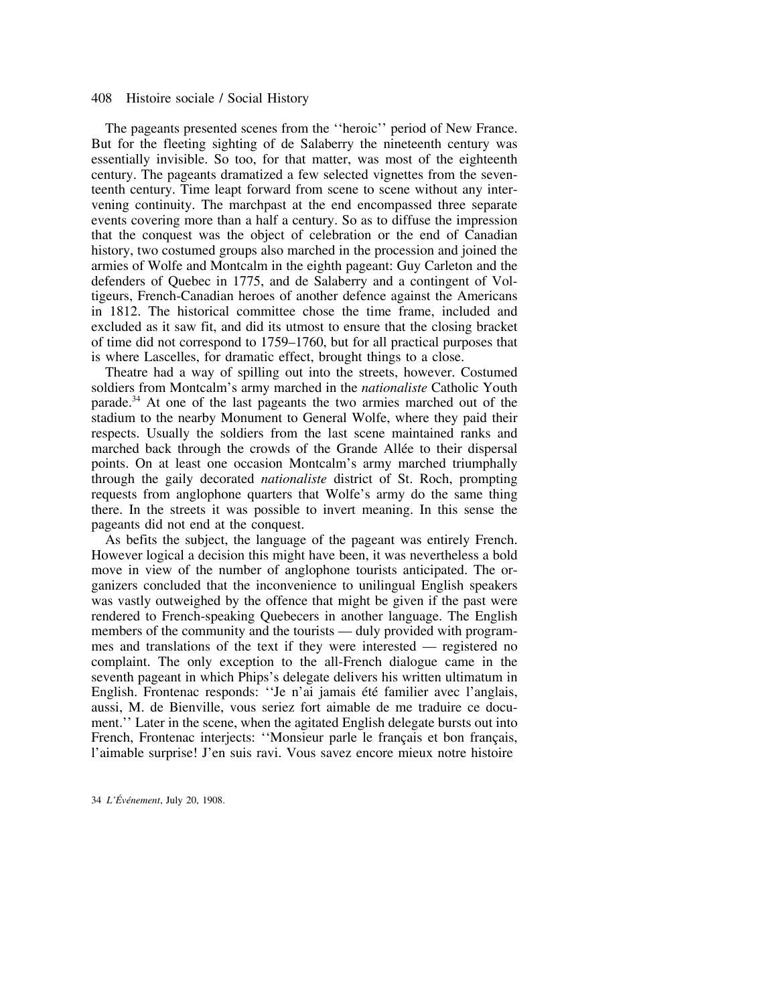The pageants presented scenes from the "heroic" period of New France. But for the fleeting sighting of de Salaberry the nineteenth century was essentially invisible. So too, for that matter, was most of the eighteenth century. The pageants dramatized a few selected vignettes from the seventeenth century. Time leapt forward from scene to scene without any intervening continuity. The marchpast at the end encompassed three separate events covering more than a half a century. So as to diffuse the impression that the conquest was the object of celebration or the end of Canadian history, two costumed groups also marched in the procession and joined the armies of Wolfe and Montcalm in the eighth pageant: Guy Carleton and the defenders of Quebec in 1775, and de Salaberry and a contingent of Voltigeurs, French-Canadian heroes of another defence against the Americans in 1812. The historical committee chose the time frame, included and excluded as it saw fit, and did its utmost to ensure that the closing bracket of time did not correspond to 1759–1760, but for all practical purposes that is where Lascelles, for dramatic effect, brought things to a close.

Theatre had a way of spilling out into the streets, however. Costumed soldiers from Montcalm's army marched in the *nationaliste* Catholic Youth parade.<sup>34</sup> At one of the last pageants the two armies marched out of the stadium to the nearby Monument to General Wolfe, where they paid their respects. Usually the soldiers from the last scene maintained ranks and marched back through the crowds of the Grande Allée to their dispersal points. On at least one occasion Montcalm's army marched triumphally through the gaily decorated *nationaliste* district of St. Roch, prompting requests from anglophone quarters that Wolfe's army do the same thing there. In the streets it was possible to invert meaning. In this sense the pageants did not end at the conquest.

As befits the subject, the language of the pageant was entirely French. However logical a decision this might have been, it was nevertheless a bold move in view of the number of anglophone tourists anticipated. The organizers concluded that the inconvenience to unilingual English speakers was vastly outweighed by the offence that might be given if the past were rendered to French-speaking Quebecers in another language. The English members of the community and the tourists — duly provided with programmes and translations of the text if they were interested  $-$  registered no complaint. The only exception to the all-French dialogue came in the seventh pageant in which Phips's delegate delivers his written ultimatum in English. Frontenac responds: "Je n'ai jamais été familier avec l'anglais, aussi, M. de Bienville, vous seriez fort aimable de me traduire ce document." Later in the scene, when the agitated English delegate bursts out into French, Frontenac interjects: "Monsieur parle le français et bon français, l'aimable surprise! J'en suis ravi. Vous savez encore mieux notre histoire

34 *L'Événement*, July 20, 1908.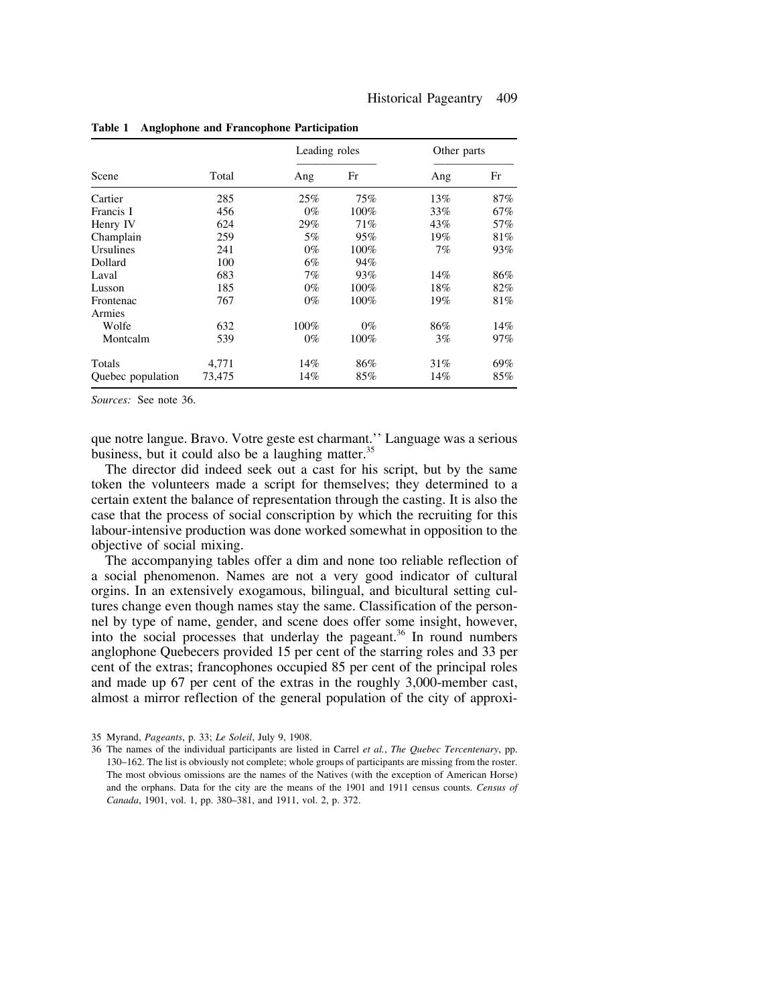| Scene             | Total  | Leading roles |         | Other parts |     |
|-------------------|--------|---------------|---------|-------------|-----|
|                   |        | Ang           | Fr      | Ang         | Fr  |
| Cartier           | 285    | 25%           | 75%     | 13%         | 87% |
| Francis I         | 456    | $0\%$         | $100\%$ | 33%         | 67% |
| Henry IV          | 624    | 29%           | 71%     | 43%         | 57% |
| Champlain         | 259    | 5%            | 95%     | 19%         | 81% |
| Ursulines         | 241    | $0\%$         | $100\%$ | 7%          | 93% |
| Dollard           | 100    | 6%            | 94%     |             |     |
| Laval             | 683    | 7%            | 93%     | 14%         | 86% |
| Lusson            | 185    | $0\%$         | $100\%$ | 18%         | 82% |
| Frontenac         | 767    | $0\%$         | $100\%$ | 19%         | 81% |
| Armies            |        |               |         |             |     |
| Wolfe             | 632    | 100%          | $0\%$   | 86%         | 14% |
| Montcalm          | 539    | $0\%$         | 100%    | $3\%$       | 97% |
| Totals            | 4,771  | 14%           | 86%     | 31%         | 69% |
| Quebec population | 73,475 | 14%           | 85%     | 14%         | 85% |

**Table 1 Anglophone and Francophone Participation**

*Sources:* See note 36.

que notre langue. Bravo. Votre geste est charmant." Language was a serious business, but it could also be a laughing matter.<sup>35</sup>

The director did indeed seek out a cast for his script, but by the same token the volunteers made a script for themselves; they determined to a certain extent the balance of representation through the casting. It is also the case that the process of social conscription by which the recruiting for this labour-intensive production was done worked somewhat in opposition to the objective of social mixing.

The accompanying tables offer a dim and none too reliable reflection of a social phenomenon. Names are not a very good indicator of cultural orgins. In an extensively exogamous, bilingual, and bicultural setting cultures change even though names stay the same. Classification of the personnel by type of name, gender, and scene does offer some insight, however, into the social processes that underlay the pageant.<sup>36</sup> In round numbers anglophone Quebecers provided 15 per cent of the starring roles and 33 per cent of the extras; francophones occupied 85 per cent of the principal roles and made up 67 per cent of the extras in the roughly 3,000-member cast, almost a mirror reflection of the general population of the city of approxi-

<sup>35</sup> Myrand, *Pageants*, p. 33; *Le Soleil*, July 9, 1908.

<sup>36</sup> The names of the individual participants are listed in Carrel *et al.*, *The Quebec Tercentenary*, pp. 130–162. The list is obviously not complete; whole groups of participants are missing from the roster. The most obvious omissions are the names of the Natives (with the exception of American Horse) and the orphans. Data for the city are the means of the 1901 and 1911 census counts. *Census of Canada*, 1901, vol. 1, pp. 380–381, and 1911, vol. 2, p. 372.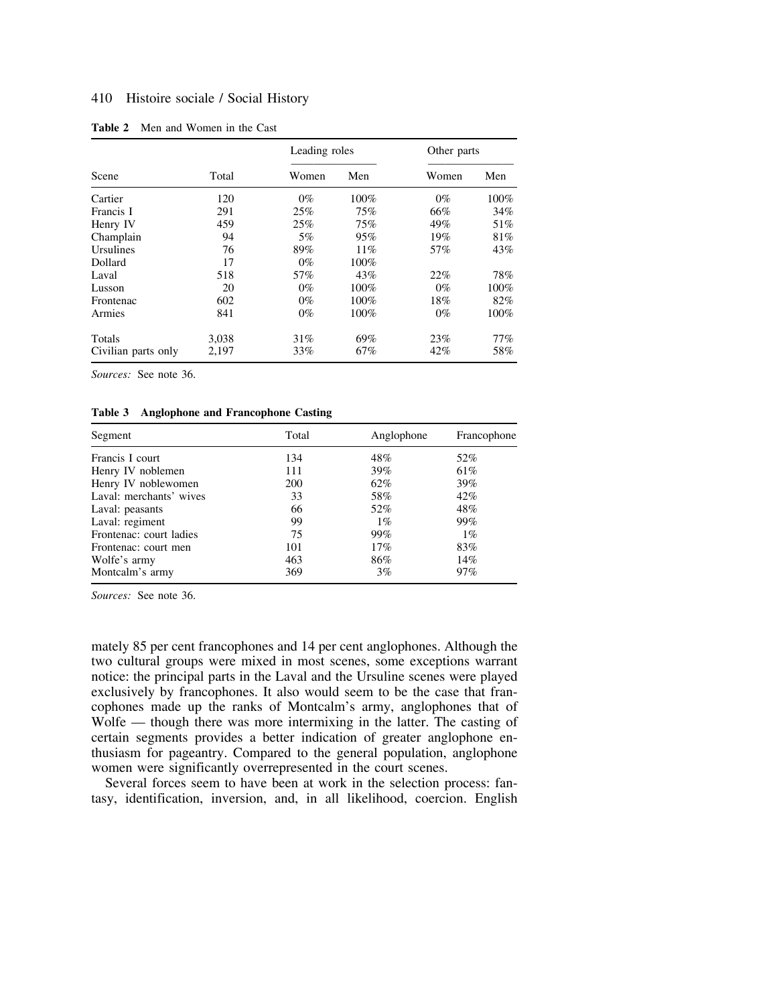| Scene               | Total | Leading roles |      | Other parts |      |
|---------------------|-------|---------------|------|-------------|------|
|                     |       | Women         | Men  | Women       | Men  |
| Cartier             | 120   | $0\%$         | 100% | $0\%$       | 100% |
| Francis I           | 291   | 25%           | 75%  | 66%         | 34%  |
| Henry IV            | 459   | 25%           | 75%  | 49%         | 51%  |
| Champlain           | 94    | $5\%$         | 95%  | 19%         | 81%  |
| Ursulines           | 76    | 89%           | 11%  | 57%         | 43%  |
| Dollard             | 17    | $0\%$         | 100% |             |      |
| Laval               | 518   | 57%           | 43%  | 22%         | 78%  |
| Lusson              | 20    | $0\%$         | 100% | $0\%$       | 100% |
| Frontenac           | 602   | $0\%$         | 100% | 18%         | 82%  |
| Armies              | 841   | $0\%$         | 100% | $0\%$       | 100% |
| Totals              | 3,038 | 31%           | 69%  | 23%         | 77%  |
| Civilian parts only | 2,197 | 33%           | 67%  | 42%         | 58%  |

**Table 2** Men and Women in the Cast

*Sources:* See note 36.

**Table 3 Anglophone and Francophone Casting**

| Segment                 | Total      | Anglophone | Francophone |  |
|-------------------------|------------|------------|-------------|--|
| Francis I court         | 134        | 48%        | 52%         |  |
| Henry IV noblemen       | 111        | 39%        | 61\%        |  |
| Henry IV noblewomen     | <b>200</b> | 62%        | 39%         |  |
| Laval: merchants' wives | 33         | 58%        | $42\%$      |  |
| Laval: peasants         | 66         | 52%        | 48%         |  |
| Laval: regiment         | 99         | $1\%$      | 99%         |  |
| Frontenac: court ladies | 75         | 99%        | $1\%$       |  |
| Frontenac: court men    | 101        | 17%        | 83%         |  |
| Wolfe's army            | 463        | 86%        | 14%         |  |
| Montcalm's army         | 369        | 3%         | 97%         |  |

*Sources:* See note 36.

mately 85 per cent francophones and 14 per cent anglophones. Although the two cultural groups were mixed in most scenes, some exceptions warrant notice: the principal parts in the Laval and the Ursuline scenes were played exclusively by francophones. It also would seem to be the case that francophones made up the ranks of Montcalm's army, anglophones that of Wolfe – though there was more intermixing in the latter. The casting of certain segments provides a better indication of greater anglophone enthusiasm for pageantry. Compared to the general population, anglophone women were significantly overrepresented in the court scenes.

Several forces seem to have been at work in the selection process: fantasy, identification, inversion, and, in all likelihood, coercion. English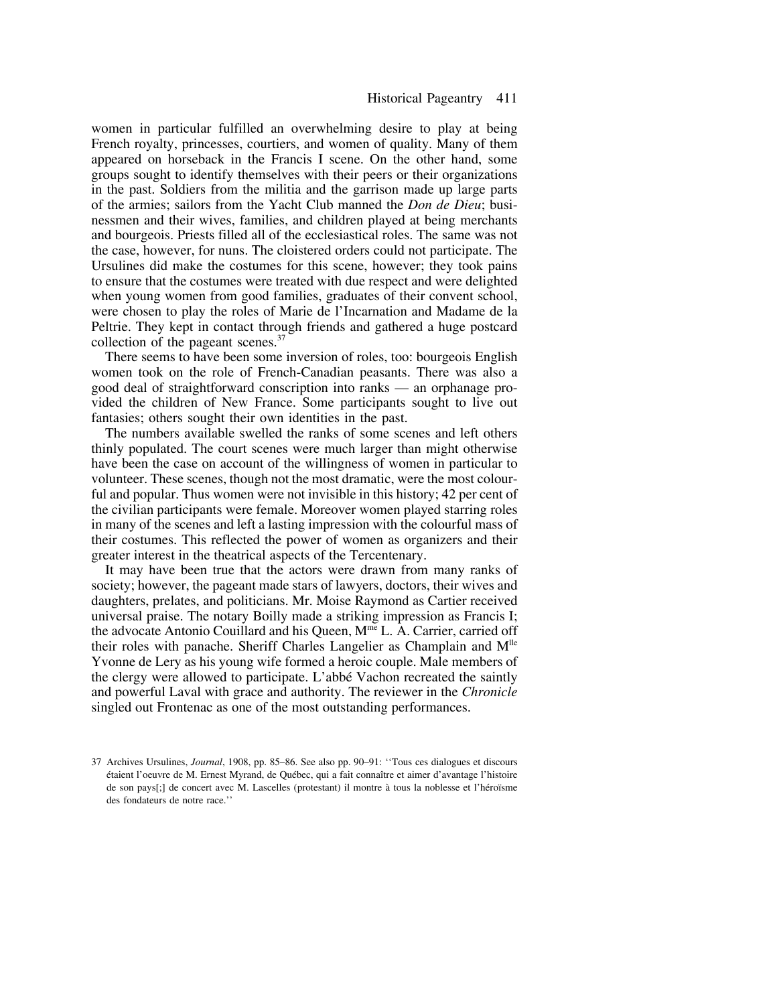women in particular fulfilled an overwhelming desire to play at being French royalty, princesses, courtiers, and women of quality. Many of them appeared on horseback in the Francis I scene. On the other hand, some groups sought to identify themselves with their peers or their organizations in the past. Soldiers from the militia and the garrison made up large parts of the armies; sailors from the Yacht Club manned the *Don de Dieu*; businessmen and their wives, families, and children played at being merchants and bourgeois. Priests filled all of the ecclesiastical roles. The same was not the case, however, for nuns. The cloistered orders could not participate. The Ursulines did make the costumes for this scene, however; they took pains to ensure that the costumes were treated with due respect and were delighted when young women from good families, graduates of their convent school, were chosen to play the roles of Marie de l'Incarnation and Madame de la Peltrie. They kept in contact through friends and gathered a huge postcard collection of the pageant scenes.<sup>37</sup>

There seems to have been some inversion of roles, too: bourgeois English women took on the role of French-Canadian peasants. There was also a good deal of straightforward conscription into ranks — an orphanage provided the children of New France. Some participants sought to live out fantasies; others sought their own identities in the past.

The numbers available swelled the ranks of some scenes and left others thinly populated. The court scenes were much larger than might otherwise have been the case on account of the willingness of women in particular to volunteer. These scenes, though not the most dramatic, were the most colourful and popular. Thus women were not invisible in this history; 42 per cent of the civilian participants were female. Moreover women played starring roles in many of the scenes and left a lasting impression with the colourful mass of their costumes. This reflected the power of women as organizers and their greater interest in the theatrical aspects of the Tercentenary.

It may have been true that the actors were drawn from many ranks of society; however, the pageant made stars of lawyers, doctors, their wives and daughters, prelates, and politicians. Mr. Moise Raymond as Cartier received universal praise. The notary Boilly made a striking impression as Francis I; the advocate Antonio Couillard and his Queen, M<sup>me</sup> L. A. Carrier, carried off their roles with panache. Sheriff Charles Langelier as Champlain and Mlle Yvonne de Lery as his young wife formed a heroic couple. Male members of the clergy were allowed to participate. L'abbé Vachon recreated the saintly and powerful Laval with grace and authority. The reviewer in the *Chronicle* singled out Frontenac as one of the most outstanding performances.

<sup>37</sup> Archives Ursulines, *Journal*, 1908, pp. 85–86. See also pp. 90–91: "Tous ces dialogues et discours étaient l'oeuvre de M. Ernest Myrand, de Québec, qui a fait connaître et aimer d'avantage l'histoire de son pays[;] de concert avec M. Lascelles (protestant) il montre à tous la noblesse et l'héroïsme des fondateurs de notre race."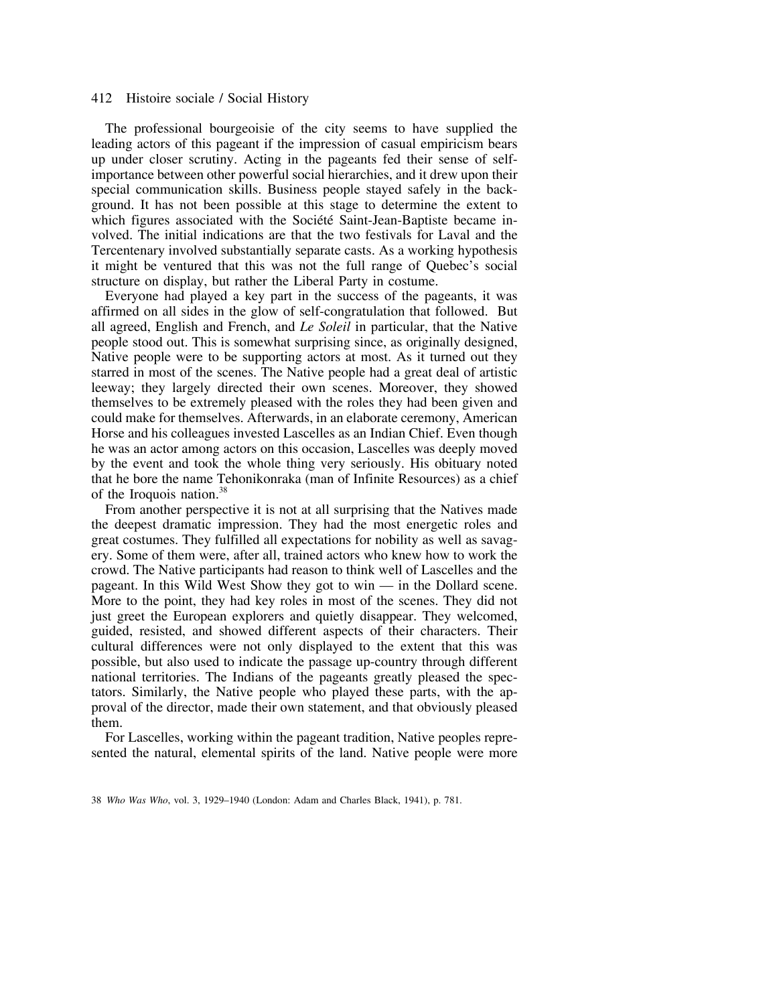The professional bourgeoisie of the city seems to have supplied the leading actors of this pageant if the impression of casual empiricism bears up under closer scrutiny. Acting in the pageants fed their sense of selfimportance between other powerful social hierarchies, and it drew upon their special communication skills. Business people stayed safely in the background. It has not been possible at this stage to determine the extent to which figures associated with the Société Saint-Jean-Baptiste became involved. The initial indications are that the two festivals for Laval and the Tercentenary involved substantially separate casts. As a working hypothesis it might be ventured that this was not the full range of Quebec's social structure on display, but rather the Liberal Party in costume.

Everyone had played a key part in the success of the pageants, it was affirmed on all sides in the glow of self-congratulation that followed. But all agreed, English and French, and *Le Soleil* in particular, that the Native people stood out. This is somewhat surprising since, as originally designed, Native people were to be supporting actors at most. As it turned out they starred in most of the scenes. The Native people had a great deal of artistic leeway; they largely directed their own scenes. Moreover, they showed themselves to be extremely pleased with the roles they had been given and could make for themselves. Afterwards, in an elaborate ceremony, American Horse and his colleagues invested Lascelles as an Indian Chief. Even though he was an actor among actors on this occasion, Lascelles was deeply moved by the event and took the whole thing very seriously. His obituary noted that he bore the name Tehonikonraka (man of Infinite Resources) as a chief of the Iroquois nation.38

From another perspective it is not at all surprising that the Natives made the deepest dramatic impression. They had the most energetic roles and great costumes. They fulfilled all expectations for nobility as well as savagery. Some of them were, after all, trained actors who knew how to work the crowd. The Native participants had reason to think well of Lascelles and the pageant. In this Wild West Show they got to win  $\frac{1}{\sqrt{1}}$  in the Dollard scene. More to the point, they had key roles in most of the scenes. They did not just greet the European explorers and quietly disappear. They welcomed, guided, resisted, and showed different aspects of their characters. Their cultural differences were not only displayed to the extent that this was possible, but also used to indicate the passage up-country through different national territories. The Indians of the pageants greatly pleased the spectators. Similarly, the Native people who played these parts, with the approval of the director, made their own statement, and that obviously pleased them.

For Lascelles, working within the pageant tradition, Native peoples represented the natural, elemental spirits of the land. Native people were more

<sup>38</sup> *Who Was Who*, vol. 3, 1929-1940 (London: Adam and Charles Black, 1941), p. 781.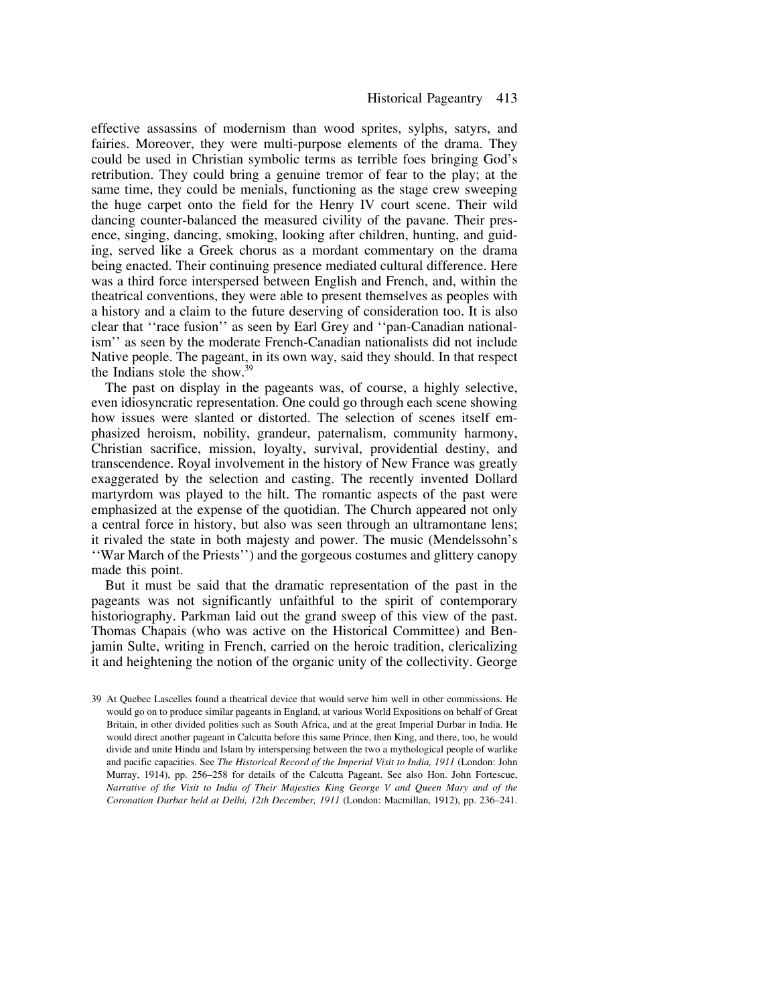effective assassins of modernism than wood sprites, sylphs, satyrs, and fairies. Moreover, they were multi-purpose elements of the drama. They could be used in Christian symbolic terms as terrible foes bringing God's retribution. They could bring a genuine tremor of fear to the play; at the same time, they could be menials, functioning as the stage crew sweeping the huge carpet onto the field for the Henry IV court scene. Their wild dancing counter-balanced the measured civility of the pavane. Their presence, singing, dancing, smoking, looking after children, hunting, and guiding, served like a Greek chorus as a mordant commentary on the drama being enacted. Their continuing presence mediated cultural difference. Here was a third force interspersed between English and French, and, within the theatrical conventions, they were able to present themselves as peoples with a history and a claim to the future deserving of consideration too. It is also clear that "race fusion" as seen by Earl Grey and "pan-Canadian nationalism'' as seen by the moderate French-Canadian nationalists did not include Native people. The pageant, in its own way, said they should. In that respect the Indians stole the show.39

The past on display in the pageants was, of course, a highly selective, even idiosyncratic representation. One could go through each scene showing how issues were slanted or distorted. The selection of scenes itself emphasized heroism, nobility, grandeur, paternalism, community harmony, Christian sacrifice, mission, loyalty, survival, providential destiny, and transcendence. Royal involvement in the history of New France was greatly exaggerated by the selection and casting. The recently invented Dollard martyrdom was played to the hilt. The romantic aspects of the past were emphasized at the expense of the quotidian. The Church appeared not only a central force in history, but also was seen through an ultramontane lens; it rivaled the state in both majesty and power. The music (Mendelssohn's "War March of the Priests") and the gorgeous costumes and glittery canopy made this point.

But it must be said that the dramatic representation of the past in the pageants was not significantly unfaithful to the spirit of contemporary historiography. Parkman laid out the grand sweep of this view of the past. Thomas Chapais (who was active on the Historical Committee) and Benjamin Sulte, writing in French, carried on the heroic tradition, clericalizing it and heightening the notion of the organic unity of the collectivity. George

<sup>39</sup> At Quebec Lascelles found a theatrical device that would serve him well in other commissions. He would go on to produce similar pageants in England, at various World Expositions on behalf of Great Britain, in other divided polities such as South Africa, and at the great Imperial Durbar in India. He would direct another pageant in Calcutta before this same Prince, then King, and there, too, he would divide and unite Hindu and Islam by interspersing between the two a mythological people of warlike and pacific capacities. See *The Historical Record of the Imperial Visit to India, 1911* (London: John Murray, 1914), pp. 256-258 for details of the Calcutta Pageant. See also Hon. John Fortescue, *Narrative of the Visit to India of Their Majesties King George V and Queen Mary and of the Coronation Durbar held at Delhi, 12th December, 1911* (London: Macmillan, 1912), pp. 236-241.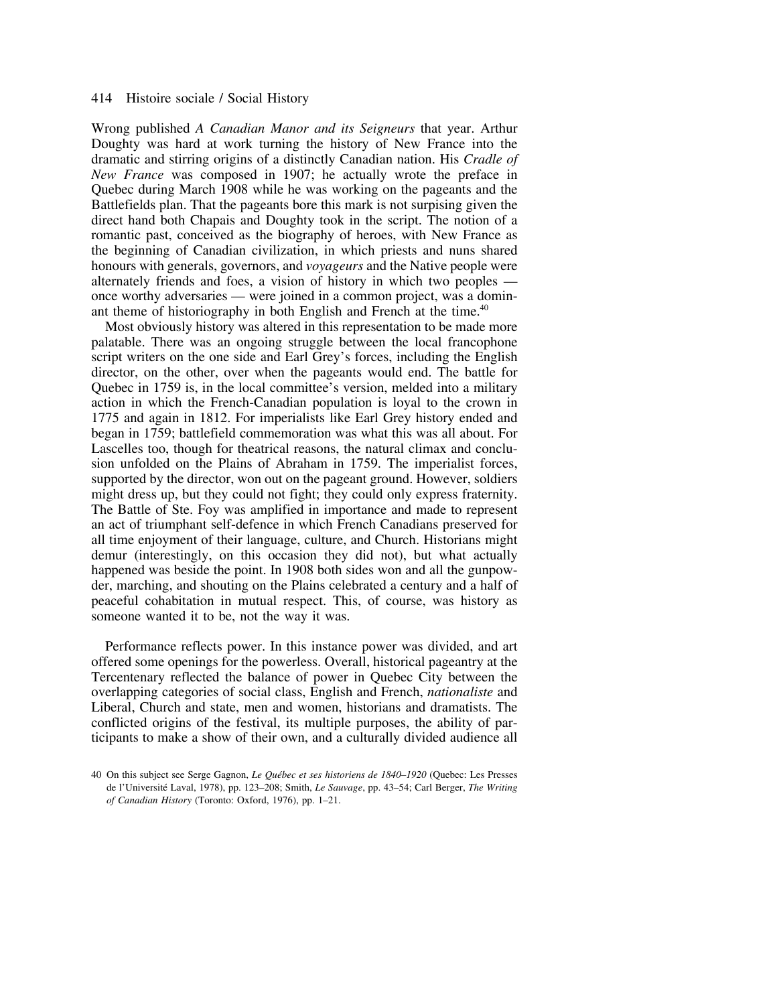Wrong published *A Canadian Manor and its Seigneurs* that year. Arthur Doughty was hard at work turning the history of New France into the dramatic and stirring origins of a distinctly Canadian nation. His *Cradle of New France* was composed in 1907; he actually wrote the preface in Quebec during March 1908 while he was working on the pageants and the Battlefields plan. That the pageants bore this mark is not surpising given the direct hand both Chapais and Doughty took in the script. The notion of a romantic past, conceived as the biography of heroes, with New France as the beginning of Canadian civilization, in which priests and nuns shared honours with generals, governors, and *voyageurs* and the Native people were alternately friends and foes, a vision of history in which two peoples  $$ once worthy adversaries — were joined in a common project, was a dominant theme of historiography in both English and French at the time. $40$ 

Most obviously history was altered in this representation to be made more palatable. There was an ongoing struggle between the local francophone script writers on the one side and Earl Grey's forces, including the English director, on the other, over when the pageants would end. The battle for Quebec in 1759 is, in the local committee's version, melded into a military action in which the French-Canadian population is loyal to the crown in 1775 and again in 1812. For imperialists like Earl Grey history ended and began in 1759; battlefield commemoration was what this was all about. For Lascelles too, though for theatrical reasons, the natural climax and conclusion unfolded on the Plains of Abraham in 1759. The imperialist forces, supported by the director, won out on the pageant ground. However, soldiers might dress up, but they could not fight; they could only express fraternity. The Battle of Ste. Foy was amplified in importance and made to represent an act of triumphant self-defence in which French Canadians preserved for all time enjoyment of their language, culture, and Church. Historians might demur (interestingly, on this occasion they did not), but what actually happened was beside the point. In 1908 both sides won and all the gunpowder, marching, and shouting on the Plains celebrated a century and a half of peaceful cohabitation in mutual respect. This, of course, was history as someone wanted it to be, not the way it was.

Performance reflects power. In this instance power was divided, and art offered some openings for the powerless. Overall, historical pageantry at the Tercentenary reflected the balance of power in Quebec City between the overlapping categories of social class, English and French, *nationaliste* and Liberal, Church and state, men and women, historians and dramatists. The conflicted origins of the festival, its multiple purposes, the ability of participants to make a show of their own, and a culturally divided audience all

<sup>40</sup> On this subject see Serge Gagnon, *Le Québec et ses historiens de 1840–1920* (Quebec: Les Presses de l'Université Laval, 1978), pp. 123-208; Smith, *Le Sauvage*, pp. 43-54; Carl Berger, *The Writing of Canadian History* (Toronto: Oxford, 1976), pp. 1-21.